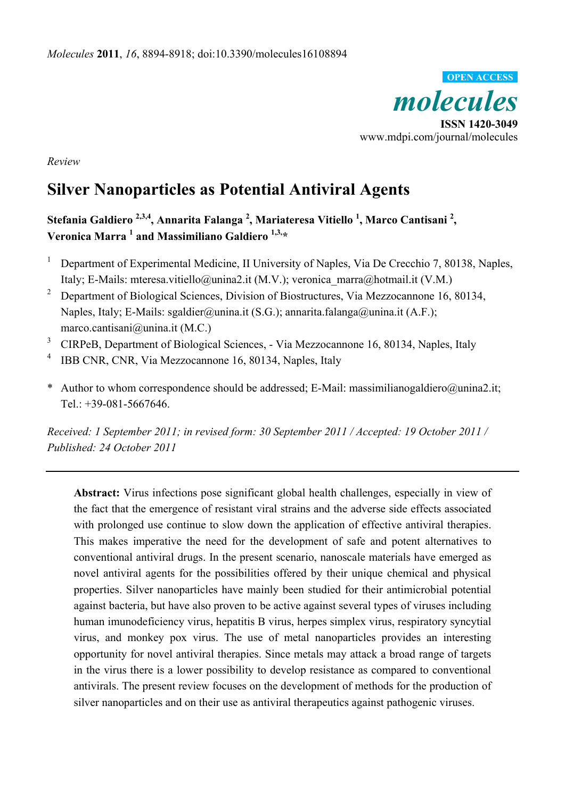

*Review* 

# **Silver Nanoparticles as Potential Antiviral Agents**

# Stefania Galdiero <sup>2,3,4</sup>, Annarita Falanga <sup>2</sup>, Mariateresa Vitiello <sup>1</sup>, Marco Cantisani <sup>2</sup>, **Veronica Marra 1 and Massimiliano Galdiero 1,3,\***

- 1 Department of Experimental Medicine, II University of Naples, Via De Crecchio 7, 80138, Naples, Italy; E-Mails: mteresa.vitiello@unina2.it (M.V.); veronica\_marra@hotmail.it (V.M.)
- <sup>2</sup> Department of Biological Sciences, Division of Biostructures, Via Mezzocannone 16, 80134, Naples, Italy; E-Mails: sgaldier@unina.it (S.G.); annarita.falanga@unina.it (A.F.); marco.cantisani@unina.it (M.C.)
- 3 CIRPeB, Department of Biological Sciences, - Via Mezzocannone 16, 80134, Naples, Italy
- 4 IBB CNR, CNR, Via Mezzocannone 16, 80134, Naples, Italy
- \* Author to whom correspondence should be addressed; E-Mail: massimilianogaldiero@unina2.it; Tel.: +39-081-5667646.

*Received: 1 September 2011; in revised form: 30 September 2011 / Accepted: 19 October 2011 / Published: 24 October 2011* 

**Abstract:** Virus infections pose significant global health challenges, especially in view of the fact that the emergence of resistant viral strains and the adverse side effects associated with prolonged use continue to slow down the application of effective antiviral therapies. This makes imperative the need for the development of safe and potent alternatives to conventional antiviral drugs. In the present scenario, nanoscale materials have emerged as novel antiviral agents for the possibilities offered by their unique chemical and physical properties. Silver nanoparticles have mainly been studied for their antimicrobial potential against bacteria, but have also proven to be active against several types of viruses including human imunodeficiency virus, hepatitis B virus, herpes simplex virus, respiratory syncytial virus, and monkey pox virus. The use of metal nanoparticles provides an interesting opportunity for novel antiviral therapies. Since metals may attack a broad range of targets in the virus there is a lower possibility to develop resistance as compared to conventional antivirals. The present review focuses on the development of methods for the production of silver nanoparticles and on their use as antiviral therapeutics against pathogenic viruses.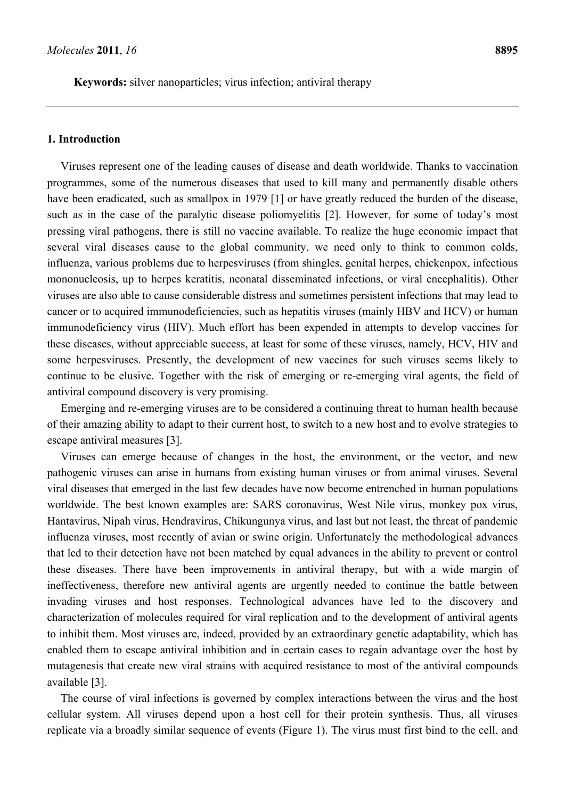**Keywords:** silver nanoparticles; virus infection; antiviral therapy

### **1. Introduction**

Viruses represent one of the leading causes of disease and death worldwide. Thanks to vaccination programmes, some of the numerous diseases that used to kill many and permanently disable others have been eradicated, such as smallpox in 1979 [1] or have greatly reduced the burden of the disease, such as in the case of the paralytic disease poliomyelitis [2]. However, for some of today's most pressing viral pathogens, there is still no vaccine available. To realize the huge economic impact that several viral diseases cause to the global community, we need only to think to common colds, influenza, various problems due to herpesviruses (from shingles, genital herpes, chickenpox, infectious mononucleosis, up to herpes keratitis, neonatal disseminated infections, or viral encephalitis). Other viruses are also able to cause considerable distress and sometimes persistent infections that may lead to cancer or to acquired immunodeficiencies, such as hepatitis viruses (mainly HBV and HCV) or human immunodeficiency virus (HIV). Much effort has been expended in attempts to develop vaccines for these diseases, without appreciable success, at least for some of these viruses, namely, HCV, HIV and some herpesviruses. Presently, the development of new vaccines for such viruses seems likely to continue to be elusive. Together with the risk of emerging or re-emerging viral agents, the field of antiviral compound discovery is very promising.

Emerging and re-emerging viruses are to be considered a continuing threat to human health because of their amazing ability to adapt to their current host, to switch to a new host and to evolve strategies to escape antiviral measures [3].

Viruses can emerge because of changes in the host, the environment, or the vector, and new pathogenic viruses can arise in humans from existing human viruses or from animal viruses. Several viral diseases that emerged in the last few decades have now become entrenched in human populations worldwide. The best known examples are: SARS coronavirus, West Nile virus, monkey pox virus, Hantavirus, Nipah virus, Hendravirus, Chikungunya virus, and last but not least, the threat of pandemic influenza viruses, most recently of avian or swine origin. Unfortunately the methodological advances that led to their detection have not been matched by equal advances in the ability to prevent or control these diseases. There have been improvements in antiviral therapy, but with a wide margin of ineffectiveness, therefore new antiviral agents are urgently needed to continue the battle between invading viruses and host responses. Technological advances have led to the discovery and characterization of molecules required for viral replication and to the development of antiviral agents to inhibit them. Most viruses are, indeed, provided by an extraordinary genetic adaptability, which has enabled them to escape antiviral inhibition and in certain cases to regain advantage over the host by mutagenesis that create new viral strains with acquired resistance to most of the antiviral compounds available [3].

The course of viral infections is governed by complex interactions between the virus and the host cellular system. All viruses depend upon a host cell for their protein synthesis. Thus, all viruses replicate via a broadly similar sequence of events (Figure 1). The virus must first bind to the cell, and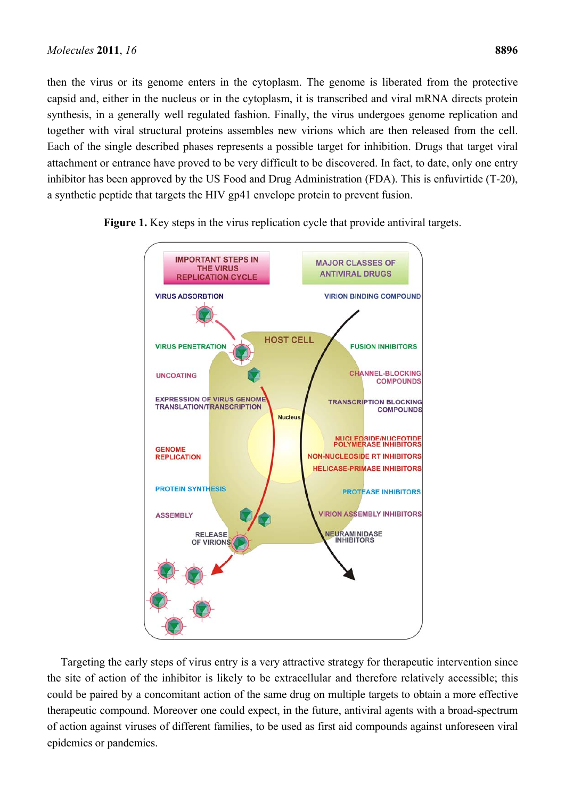then the virus or its genome enters in the cytoplasm. The genome is liberated from the protective capsid and, either in the nucleus or in the cytoplasm, it is transcribed and viral mRNA directs protein synthesis, in a generally well regulated fashion. Finally, the virus undergoes genome replication and together with viral structural proteins assembles new virions which are then released from the cell. Each of the single described phases represents a possible target for inhibition. Drugs that target viral attachment or entrance have proved to be very difficult to be discovered. In fact, to date, only one entry inhibitor has been approved by the US Food and Drug Administration (FDA). This is enfuvirtide (T-20), a synthetic peptide that targets the HIV gp41 envelope protein to prevent fusion.



**Figure 1.** Key steps in the virus replication cycle that provide antiviral targets.

Targeting the early steps of virus entry is a very attractive strategy for therapeutic intervention since the site of action of the inhibitor is likely to be extracellular and therefore relatively accessible; this could be paired by a concomitant action of the same drug on multiple targets to obtain a more effective therapeutic compound. Moreover one could expect, in the future, antiviral agents with a broad-spectrum of action against viruses of different families, to be used as first aid compounds against unforeseen viral epidemics or pandemics.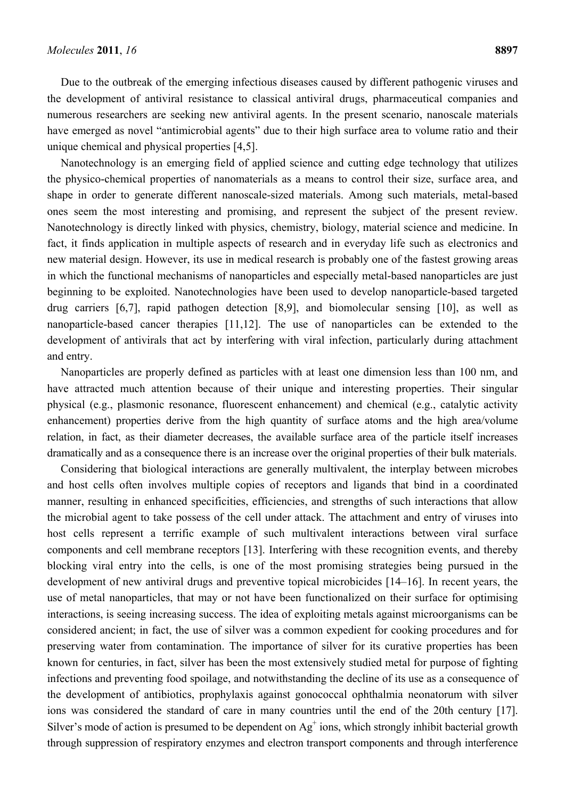Due to the outbreak of the emerging infectious diseases caused by different pathogenic viruses and the development of antiviral resistance to classical antiviral drugs, pharmaceutical companies and numerous researchers are seeking new antiviral agents. In the present scenario, nanoscale materials have emerged as novel "antimicrobial agents" due to their high surface area to volume ratio and their unique chemical and physical properties [4,5].

Nanotechnology is an emerging field of applied science and cutting edge technology that utilizes the physico-chemical properties of nanomaterials as a means to control their size, surface area, and shape in order to generate different nanoscale-sized materials. Among such materials, metal-based ones seem the most interesting and promising, and represent the subject of the present review. Nanotechnology is directly linked with physics, chemistry, biology, material science and medicine. In fact, it finds application in multiple aspects of research and in everyday life such as electronics and new material design. However, its use in medical research is probably one of the fastest growing areas in which the functional mechanisms of nanoparticles and especially metal-based nanoparticles are just beginning to be exploited. Nanotechnologies have been used to develop nanoparticle-based targeted drug carriers [6,7], rapid pathogen detection [8,9], and biomolecular sensing [10], as well as nanoparticle-based cancer therapies [11,12]. The use of nanoparticles can be extended to the development of antivirals that act by interfering with viral infection, particularly during attachment and entry.

Nanoparticles are properly defined as particles with at least one dimension less than 100 nm, and have attracted much attention because of their unique and interesting properties. Their singular physical (e.g., plasmonic resonance, fluorescent enhancement) and chemical (e.g., catalytic activity enhancement) properties derive from the high quantity of surface atoms and the high area/volume relation, in fact, as their diameter decreases, the available surface area of the particle itself increases dramatically and as a consequence there is an increase over the original properties of their bulk materials.

Considering that biological interactions are generally multivalent, the interplay between microbes and host cells often involves multiple copies of receptors and ligands that bind in a coordinated manner, resulting in enhanced specificities, efficiencies, and strengths of such interactions that allow the microbial agent to take possess of the cell under attack. The attachment and entry of viruses into host cells represent a terrific example of such multivalent interactions between viral surface components and cell membrane receptors [13]. Interfering with these recognition events, and thereby blocking viral entry into the cells, is one of the most promising strategies being pursued in the development of new antiviral drugs and preventive topical microbicides [14–16]. In recent years, the use of metal nanoparticles, that may or not have been functionalized on their surface for optimising interactions, is seeing increasing success. The idea of exploiting metals against microorganisms can be considered ancient; in fact, the use of silver was a common expedient for cooking procedures and for preserving water from contamination. The importance of silver for its curative properties has been known for centuries, in fact, silver has been the most extensively studied metal for purpose of fighting infections and preventing food spoilage, and notwithstanding the decline of its use as a consequence of the development of antibiotics, prophylaxis against gonococcal ophthalmia neonatorum with silver ions was considered the standard of care in many countries until the end of the 20th century [17]. Silver's mode of action is presumed to be dependent on  $Ag<sup>+</sup>$  ions, which strongly inhibit bacterial growth through suppression of respiratory enzymes and electron transport components and through interference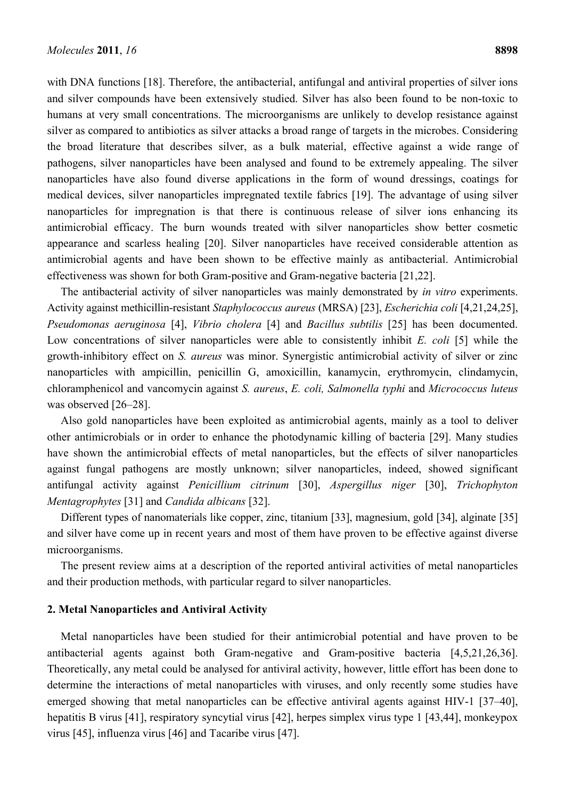with DNA functions [18]. Therefore, the antibacterial, antifungal and antiviral properties of silver ions and silver compounds have been extensively studied. Silver has also been found to be non-toxic to humans at very small concentrations. The microorganisms are unlikely to develop resistance against silver as compared to antibiotics as silver attacks a broad range of targets in the microbes. Considering the broad literature that describes silver, as a bulk material, effective against a wide range of pathogens, silver nanoparticles have been analysed and found to be extremely appealing. The silver nanoparticles have also found diverse applications in the form of wound dressings, coatings for medical devices, silver nanoparticles impregnated textile fabrics [19]. The advantage of using silver nanoparticles for impregnation is that there is continuous release of silver ions enhancing its antimicrobial efficacy. The burn wounds treated with silver nanoparticles show better cosmetic appearance and scarless healing [20]. Silver nanoparticles have received considerable attention as antimicrobial agents and have been shown to be effective mainly as antibacterial. Antimicrobial effectiveness was shown for both Gram-positive and Gram-negative bacteria [21,22].

The antibacterial activity of silver nanoparticles was mainly demonstrated by *in vitro* experiments. Activity against methicillin-resistant *Staphylococcus aureus* (MRSA) [23], *Escherichia coli* [4,21,24,25], *Pseudomonas aeruginosa* [4], *Vibrio cholera* [4] and *Bacillus subtilis* [25] has been documented. Low concentrations of silver nanoparticles were able to consistently inhibit *E. coli* [5] while the growth-inhibitory effect on *S. aureus* was minor. Synergistic antimicrobial activity of silver or zinc nanoparticles with ampicillin, penicillin G, amoxicillin, kanamycin, erythromycin, clindamycin, chloramphenicol and vancomycin against *S. aureus*, *E. coli, Salmonella typhi* and *Micrococcus luteus* was observed [26–28].

Also gold nanoparticles have been exploited as antimicrobial agents, mainly as a tool to deliver other antimicrobials or in order to enhance the photodynamic killing of bacteria [29]. Many studies have shown the antimicrobial effects of metal nanoparticles, but the effects of silver nanoparticles against fungal pathogens are mostly unknown; silver nanoparticles, indeed, showed significant antifungal activity against *Penicillium citrinum* [30], *Aspergillus niger* [30], *Trichophyton Mentagrophytes* [31] and *Candida albicans* [32].

Different types of nanomaterials like copper, zinc, titanium [33], magnesium, gold [34], alginate [35] and silver have come up in recent years and most of them have proven to be effective against diverse microorganisms.

The present review aims at a description of the reported antiviral activities of metal nanoparticles and their production methods, with particular regard to silver nanoparticles.

### **2. Metal Nanoparticles and Antiviral Activity**

Metal nanoparticles have been studied for their antimicrobial potential and have proven to be antibacterial agents against both Gram-negative and Gram-positive bacteria [4,5,21,26,36]. Theoretically, any metal could be analysed for antiviral activity, however, little effort has been done to determine the interactions of metal nanoparticles with viruses, and only recently some studies have emerged showing that metal nanoparticles can be effective antiviral agents against HIV-1 [37–40], hepatitis B virus [41], respiratory syncytial virus [42], herpes simplex virus type 1 [43,44], monkeypox virus [45], influenza virus [46] and Tacaribe virus [47].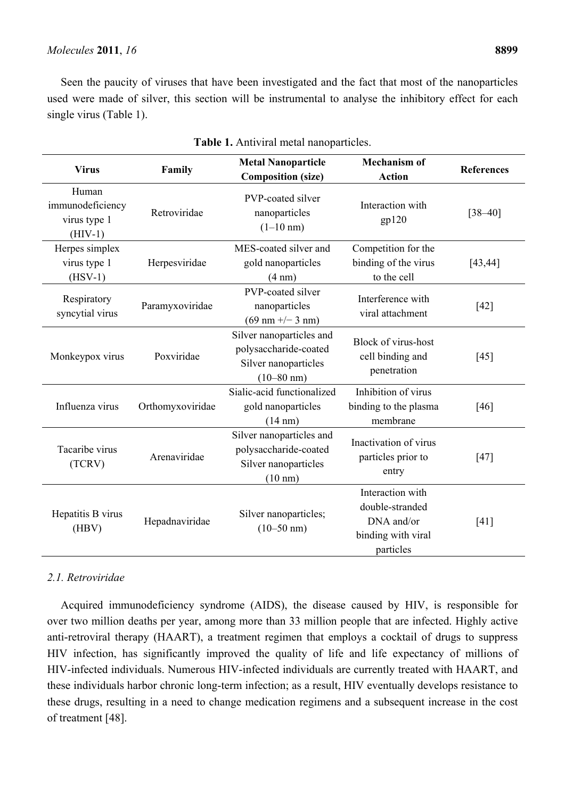| <b>Virus</b>                                           | Family           | <b>Metal Nanoparticle</b><br><b>Composition (size)</b>                                         | <b>Mechanism of</b><br><b>Action</b>                                                 | <b>References</b> |
|--------------------------------------------------------|------------------|------------------------------------------------------------------------------------------------|--------------------------------------------------------------------------------------|-------------------|
| Human<br>immunodeficiency<br>virus type 1<br>$(HIV-1)$ | Retroviridae     | PVP-coated silver<br>nanoparticles<br>$(1-10)$ nm)                                             | Interaction with<br>gp120                                                            | $[38 - 40]$       |
| Herpes simplex<br>virus type 1<br>$(HSV-1)$            | Herpesviridae    | MES-coated silver and<br>gold nanoparticles<br>$(4 \text{ nm})$                                | Competition for the<br>binding of the virus<br>to the cell                           | [43, 44]          |
| Respiratory<br>syncytial virus                         | Paramyxoviridae  | PVP-coated silver<br>nanoparticles<br>$(69 \text{ nm} +/- 3 \text{ nm})$                       | Interference with<br>viral attachment                                                | [42]              |
| Monkeypox virus                                        | Poxviridae       | Silver nanoparticles and<br>polysaccharide-coated<br>Silver nanoparticles<br>$(10-80)$ nm)     | <b>Block of virus-host</b><br>cell binding and<br>penetration                        | [45]              |
| Influenza virus                                        | Orthomyxoviridae | Sialic-acid functionalized<br>gold nanoparticles<br>(14 nm)                                    | Inhibition of virus<br>binding to the plasma<br>membrane                             | $[46]$            |
| Tacaribe virus<br>(TCRV)                               | Arenaviridae     | Silver nanoparticles and<br>polysaccharide-coated<br>Silver nanoparticles<br>$(10 \text{ nm})$ | Inactivation of virus<br>particles prior to<br>entry                                 | $[47]$            |
| Hepatitis B virus<br>(HBV)                             | Hepadnaviridae   | Silver nanoparticles;<br>$(10-50)$ nm)                                                         | Interaction with<br>double-stranded<br>DNA and/or<br>binding with viral<br>particles | [41]              |

|  |  |  | Table 1. Antiviral metal nanoparticles. |
|--|--|--|-----------------------------------------|
|--|--|--|-----------------------------------------|

# *2.1. Retroviridae*

Acquired immunodeficiency syndrome (AIDS), the disease caused by HIV, is responsible for over two million deaths per year, among more than 33 million people that are infected. Highly active anti-retroviral therapy (HAART), a treatment regimen that employs a cocktail of drugs to suppress HIV infection, has significantly improved the quality of life and life expectancy of millions of HIV-infected individuals. Numerous HIV-infected individuals are currently treated with HAART, and these individuals harbor chronic long-term infection; as a result, HIV eventually develops resistance to these drugs, resulting in a need to change medication regimens and a subsequent increase in the cost of treatment [48].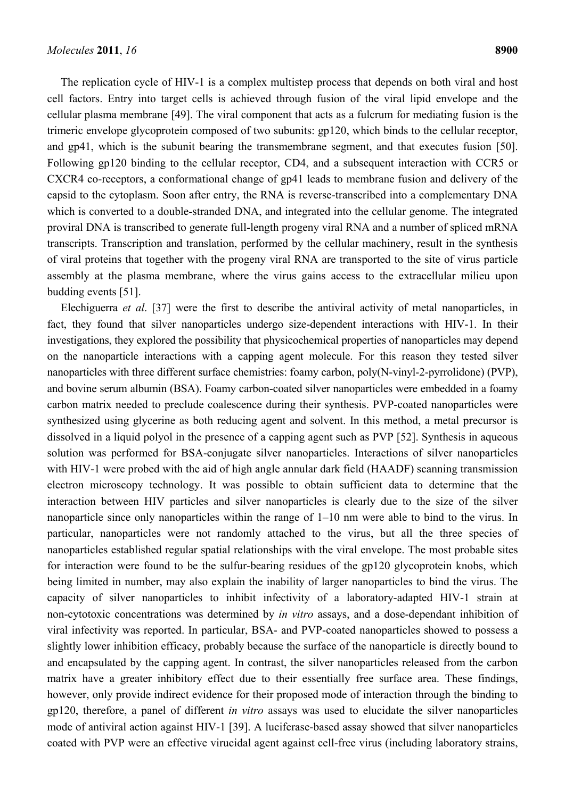The replication cycle of HIV-1 is a complex multistep process that depends on both viral and host cell factors. Entry into target cells is achieved through fusion of the viral lipid envelope and the cellular plasma membrane [49]. The viral component that acts as a fulcrum for mediating fusion is the trimeric envelope glycoprotein composed of two subunits: gp120, which binds to the cellular receptor, and gp41, which is the subunit bearing the transmembrane segment, and that executes fusion [50]. Following gp120 binding to the cellular receptor, CD4, and a subsequent interaction with CCR5 or CXCR4 co-receptors, a conformational change of gp41 leads to membrane fusion and delivery of the capsid to the cytoplasm. Soon after entry, the RNA is reverse-transcribed into a complementary DNA which is converted to a double-stranded DNA, and integrated into the cellular genome. The integrated proviral DNA is transcribed to generate full-length progeny viral RNA and a number of spliced mRNA transcripts. Transcription and translation, performed by the cellular machinery, result in the synthesis of viral proteins that together with the progeny viral RNA are transported to the site of virus particle assembly at the plasma membrane, where the virus gains access to the extracellular milieu upon budding events [51].

Elechiguerra *et al*. [37] were the first to describe the antiviral activity of metal nanoparticles, in fact, they found that silver nanoparticles undergo size-dependent interactions with HIV-1. In their investigations, they explored the possibility that physicochemical properties of nanoparticles may depend on the nanoparticle interactions with a capping agent molecule. For this reason they tested silver nanoparticles with three different surface chemistries: foamy carbon, poly(N-vinyl-2-pyrrolidone) (PVP), and bovine serum albumin (BSA). Foamy carbon-coated silver nanoparticles were embedded in a foamy carbon matrix needed to preclude coalescence during their synthesis. PVP-coated nanoparticles were synthesized using glycerine as both reducing agent and solvent. In this method, a metal precursor is dissolved in a liquid polyol in the presence of a capping agent such as PVP [52]. Synthesis in aqueous solution was performed for BSA-conjugate silver nanoparticles. Interactions of silver nanoparticles with HIV-1 were probed with the aid of high angle annular dark field (HAADF) scanning transmission electron microscopy technology. It was possible to obtain sufficient data to determine that the interaction between HIV particles and silver nanoparticles is clearly due to the size of the silver nanoparticle since only nanoparticles within the range of 1–10 nm were able to bind to the virus. In particular, nanoparticles were not randomly attached to the virus, but all the three species of nanoparticles established regular spatial relationships with the viral envelope. The most probable sites for interaction were found to be the sulfur-bearing residues of the gp120 glycoprotein knobs, which being limited in number, may also explain the inability of larger nanoparticles to bind the virus. The capacity of silver nanoparticles to inhibit infectivity of a laboratory-adapted HIV-1 strain at non-cytotoxic concentrations was determined by *in vitro* assays, and a dose-dependant inhibition of viral infectivity was reported. In particular, BSA- and PVP-coated nanoparticles showed to possess a slightly lower inhibition efficacy, probably because the surface of the nanoparticle is directly bound to and encapsulated by the capping agent. In contrast, the silver nanoparticles released from the carbon matrix have a greater inhibitory effect due to their essentially free surface area. These findings, however, only provide indirect evidence for their proposed mode of interaction through the binding to gp120, therefore, a panel of different *in vitro* assays was used to elucidate the silver nanoparticles mode of antiviral action against HIV-1 [39]. A luciferase-based assay showed that silver nanoparticles coated with PVP were an effective virucidal agent against cell-free virus (including laboratory strains,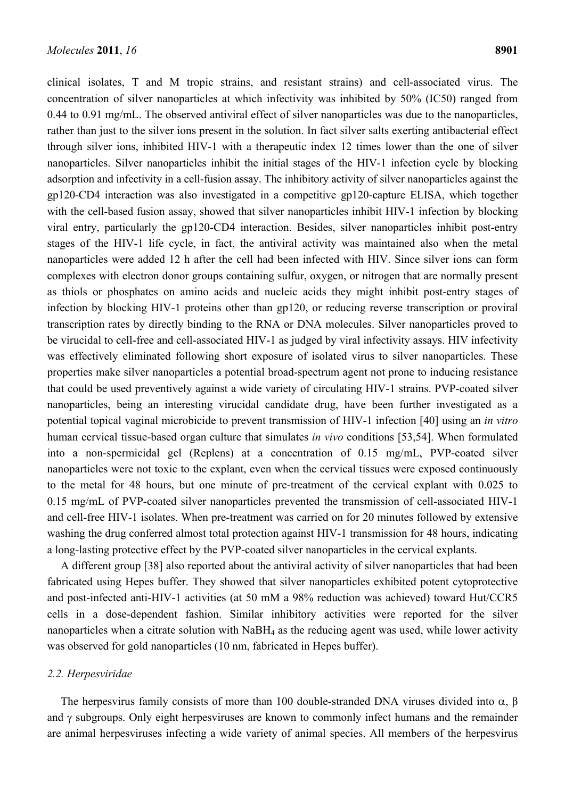clinical isolates, T and M tropic strains, and resistant strains) and cell-associated virus. The concentration of silver nanoparticles at which infectivity was inhibited by 50% (IC50) ranged from 0.44 to 0.91 mg/mL. The observed antiviral effect of silver nanoparticles was due to the nanoparticles, rather than just to the silver ions present in the solution. In fact silver salts exerting antibacterial effect through silver ions, inhibited HIV-1 with a therapeutic index 12 times lower than the one of silver nanoparticles. Silver nanoparticles inhibit the initial stages of the HIV-1 infection cycle by blocking adsorption and infectivity in a cell-fusion assay. The inhibitory activity of silver nanoparticles against the gp120-CD4 interaction was also investigated in a competitive gp120-capture ELISA, which together with the cell-based fusion assay, showed that silver nanoparticles inhibit HIV-1 infection by blocking viral entry, particularly the gp120-CD4 interaction. Besides, silver nanoparticles inhibit post-entry stages of the HIV-1 life cycle, in fact, the antiviral activity was maintained also when the metal nanoparticles were added 12 h after the cell had been infected with HIV. Since silver ions can form complexes with electron donor groups containing sulfur, oxygen, or nitrogen that are normally present as thiols or phosphates on amino acids and nucleic acids they might inhibit post-entry stages of infection by blocking HIV-1 proteins other than gp120, or reducing reverse transcription or proviral transcription rates by directly binding to the RNA or DNA molecules. Silver nanoparticles proved to be virucidal to cell-free and cell-associated HIV-1 as judged by viral infectivity assays. HIV infectivity was effectively eliminated following short exposure of isolated virus to silver nanoparticles. These properties make silver nanoparticles a potential broad-spectrum agent not prone to inducing resistance that could be used preventively against a wide variety of circulating HIV-1 strains. PVP-coated silver nanoparticles, being an interesting virucidal candidate drug, have been further investigated as a potential topical vaginal microbicide to prevent transmission of HIV-1 infection [40] using an *in vitro*  human cervical tissue-based organ culture that simulates *in vivo* conditions [53,54]. When formulated into a non-spermicidal gel (Replens) at a concentration of 0.15 mg/mL, PVP-coated silver nanoparticles were not toxic to the explant, even when the cervical tissues were exposed continuously to the metal for 48 hours, but one minute of pre-treatment of the cervical explant with 0.025 to 0.15 mg/mL of PVP-coated silver nanoparticles prevented the transmission of cell-associated HIV-1 and cell-free HIV-1 isolates. When pre-treatment was carried on for 20 minutes followed by extensive washing the drug conferred almost total protection against HIV-1 transmission for 48 hours, indicating a long-lasting protective effect by the PVP-coated silver nanoparticles in the cervical explants.

A different group [38] also reported about the antiviral activity of silver nanoparticles that had been fabricated using Hepes buffer. They showed that silver nanoparticles exhibited potent cytoprotective and post-infected anti-HIV-1 activities (at 50 mM a 98% reduction was achieved) toward Hut/CCR5 cells in a dose-dependent fashion. Similar inhibitory activities were reported for the silver nanoparticles when a citrate solution with  $NABH_4$  as the reducing agent was used, while lower activity was observed for gold nanoparticles (10 nm, fabricated in Hepes buffer).

### *2.2. Herpesviridae*

The herpesvirus family consists of more than 100 double-stranded DNA viruses divided into  $\alpha$ ,  $\beta$ and  $\gamma$  subgroups. Only eight herpesviruses are known to commonly infect humans and the remainder are animal herpesviruses infecting a wide variety of animal species. All members of the herpesvirus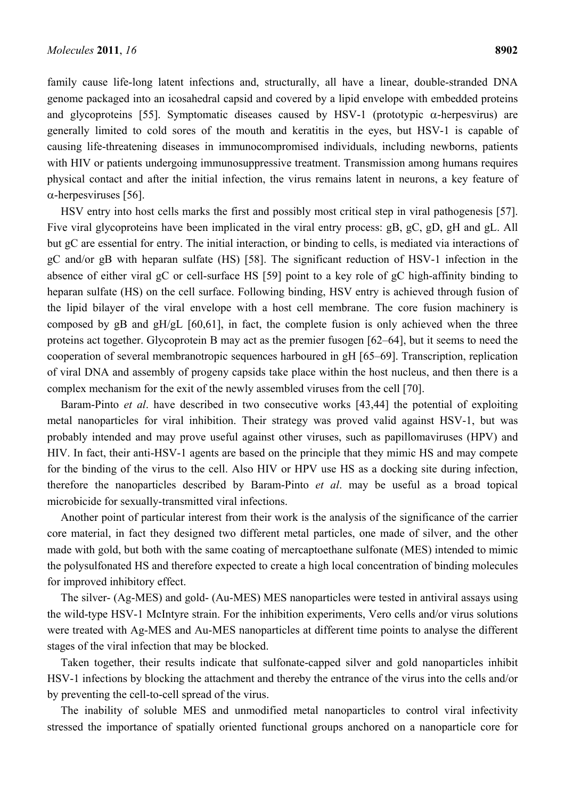family cause life-long latent infections and, structurally, all have a linear, double-stranded DNA genome packaged into an icosahedral capsid and covered by a lipid envelope with embedded proteins and glycoproteins [55]. Symptomatic diseases caused by HSV-1 (prototypic  $\alpha$ -herpesvirus) are generally limited to cold sores of the mouth and keratitis in the eyes, but HSV-1 is capable of causing life-threatening diseases in immunocompromised individuals, including newborns, patients with HIV or patients undergoing immunosuppressive treatment. Transmission among humans requires physical contact and after the initial infection, the virus remains latent in neurons, a key feature of  $\alpha$ -herpesviruses [56].

HSV entry into host cells marks the first and possibly most critical step in viral pathogenesis [57]. Five viral glycoproteins have been implicated in the viral entry process: gB, gC, gD, gH and gL. All but gC are essential for entry. The initial interaction, or binding to cells, is mediated via interactions of gC and/or gB with heparan sulfate (HS) [58]. The significant reduction of HSV-1 infection in the absence of either viral gC or cell-surface HS [59] point to a key role of gC high-affinity binding to heparan sulfate (HS) on the cell surface. Following binding, HSV entry is achieved through fusion of the lipid bilayer of the viral envelope with a host cell membrane. The core fusion machinery is composed by gB and gH/gL [60,61], in fact, the complete fusion is only achieved when the three proteins act together. Glycoprotein B may act as the premier fusogen [62–64], but it seems to need the cooperation of several membranotropic sequences harboured in gH [65–69]. Transcription, replication of viral DNA and assembly of progeny capsids take place within the host nucleus, and then there is a complex mechanism for the exit of the newly assembled viruses from the cell [70].

Baram-Pinto *et al*. have described in two consecutive works [43,44] the potential of exploiting metal nanoparticles for viral inhibition. Their strategy was proved valid against HSV-1, but was probably intended and may prove useful against other viruses, such as papillomaviruses (HPV) and HIV. In fact, their anti-HSV-1 agents are based on the principle that they mimic HS and may compete for the binding of the virus to the cell. Also HIV or HPV use HS as a docking site during infection, therefore the nanoparticles described by Baram-Pinto *et al*. may be useful as a broad topical microbicide for sexually-transmitted viral infections.

Another point of particular interest from their work is the analysis of the significance of the carrier core material, in fact they designed two different metal particles, one made of silver, and the other made with gold, but both with the same coating of mercaptoethane sulfonate (MES) intended to mimic the polysulfonated HS and therefore expected to create a high local concentration of binding molecules for improved inhibitory effect.

The silver- (Ag-MES) and gold- (Au-MES) MES nanoparticles were tested in antiviral assays using the wild-type HSV-1 McIntyre strain. For the inhibition experiments, Vero cells and/or virus solutions were treated with Ag-MES and Au-MES nanoparticles at different time points to analyse the different stages of the viral infection that may be blocked.

Taken together, their results indicate that sulfonate-capped silver and gold nanoparticles inhibit HSV-1 infections by blocking the attachment and thereby the entrance of the virus into the cells and/or by preventing the cell-to-cell spread of the virus.

The inability of soluble MES and unmodified metal nanoparticles to control viral infectivity stressed the importance of spatially oriented functional groups anchored on a nanoparticle core for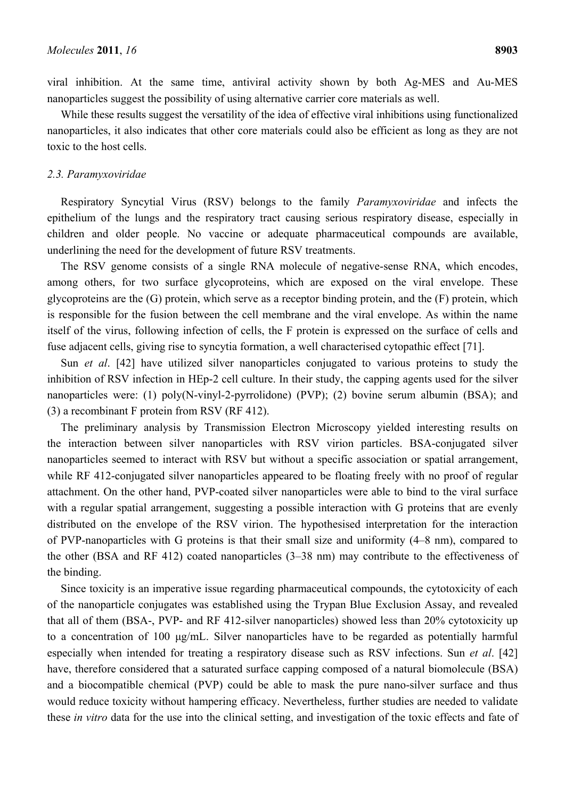viral inhibition. At the same time, antiviral activity shown by both Ag-MES and Au-MES nanoparticles suggest the possibility of using alternative carrier core materials as well.

While these results suggest the versatility of the idea of effective viral inhibitions using functionalized nanoparticles, it also indicates that other core materials could also be efficient as long as they are not toxic to the host cells.

#### *2.3. Paramyxoviridae*

Respiratory Syncytial Virus (RSV) belongs to the family *Paramyxoviridae* and infects the epithelium of the lungs and the respiratory tract causing serious respiratory disease, especially in children and older people. No vaccine or adequate pharmaceutical compounds are available, underlining the need for the development of future RSV treatments.

The RSV genome consists of a single RNA molecule of negative-sense RNA, which encodes, among others, for two surface glycoproteins, which are exposed on the viral envelope. These glycoproteins are the (G) protein, which serve as a receptor binding protein, and the (F) protein, which is responsible for the fusion between the cell membrane and the viral envelope. As within the name itself of the virus, following infection of cells, the F protein is expressed on the surface of cells and fuse adjacent cells, giving rise to syncytia formation, a well characterised cytopathic effect [71].

Sun *et al*. [42] have utilized silver nanoparticles conjugated to various proteins to study the inhibition of RSV infection in HEp-2 cell culture. In their study, the capping agents used for the silver nanoparticles were: (1) poly(N-vinyl-2-pyrrolidone) (PVP); (2) bovine serum albumin (BSA); and (3) a recombinant F protein from RSV (RF 412).

The preliminary analysis by Transmission Electron Microscopy yielded interesting results on the interaction between silver nanoparticles with RSV virion particles. BSA-conjugated silver nanoparticles seemed to interact with RSV but without a specific association or spatial arrangement, while RF 412-conjugated silver nanoparticles appeared to be floating freely with no proof of regular attachment. On the other hand, PVP-coated silver nanoparticles were able to bind to the viral surface with a regular spatial arrangement, suggesting a possible interaction with G proteins that are evenly distributed on the envelope of the RSV virion. The hypothesised interpretation for the interaction of PVP-nanoparticles with G proteins is that their small size and uniformity (4–8 nm), compared to the other (BSA and RF 412) coated nanoparticles (3–38 nm) may contribute to the effectiveness of the binding.

Since toxicity is an imperative issue regarding pharmaceutical compounds, the cytotoxicity of each of the nanoparticle conjugates was established using the Trypan Blue Exclusion Assay, and revealed that all of them (BSA-, PVP- and RF 412-silver nanoparticles) showed less than 20% cytotoxicity up to a concentration of 100 μg/mL. Silver nanoparticles have to be regarded as potentially harmful especially when intended for treating a respiratory disease such as RSV infections. Sun *et al*. [42] have, therefore considered that a saturated surface capping composed of a natural biomolecule (BSA) and a biocompatible chemical (PVP) could be able to mask the pure nano-silver surface and thus would reduce toxicity without hampering efficacy. Nevertheless, further studies are needed to validate these *in vitro* data for the use into the clinical setting, and investigation of the toxic effects and fate of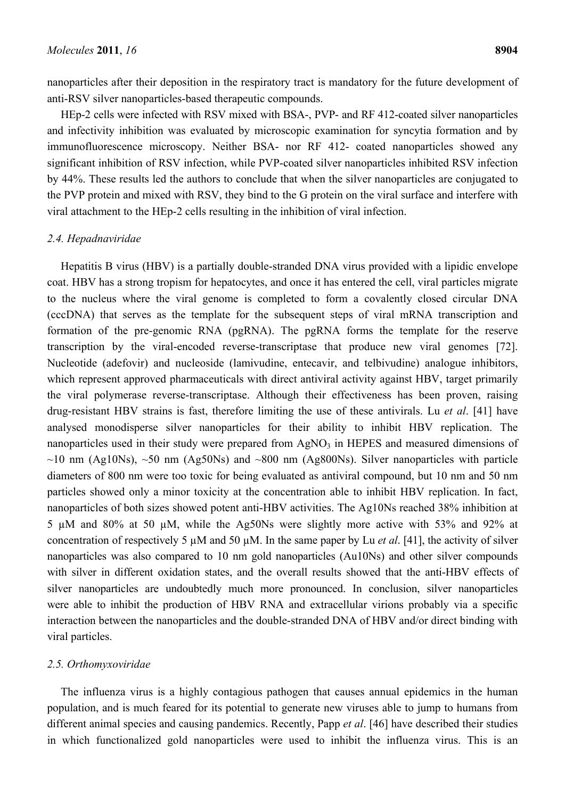nanoparticles after their deposition in the respiratory tract is mandatory for the future development of anti-RSV silver nanoparticles-based therapeutic compounds.

HEp-2 cells were infected with RSV mixed with BSA-, PVP- and RF 412-coated silver nanoparticles and infectivity inhibition was evaluated by microscopic examination for syncytia formation and by immunofluorescence microscopy. Neither BSA- nor RF 412- coated nanoparticles showed any significant inhibition of RSV infection, while PVP-coated silver nanoparticles inhibited RSV infection by 44%. These results led the authors to conclude that when the silver nanoparticles are conjugated to the PVP protein and mixed with RSV, they bind to the G protein on the viral surface and interfere with viral attachment to the HEp-2 cells resulting in the inhibition of viral infection.

### *2.4. Hepadnaviridae*

Hepatitis B virus (HBV) is a partially double-stranded DNA virus provided with a lipidic envelope coat. HBV has a strong tropism for hepatocytes, and once it has entered the cell, viral particles migrate to the nucleus where the viral genome is completed to form a covalently closed circular DNA (cccDNA) that serves as the template for the subsequent steps of viral mRNA transcription and formation of the pre-genomic RNA (pgRNA). The pgRNA forms the template for the reserve transcription by the viral-encoded reverse-transcriptase that produce new viral genomes [72]. Nucleotide (adefovir) and nucleoside (lamivudine, entecavir, and telbivudine) analogue inhibitors, which represent approved pharmaceuticals with direct antiviral activity against HBV, target primarily the viral polymerase reverse-transcriptase. Although their effectiveness has been proven, raising drug-resistant HBV strains is fast, therefore limiting the use of these antivirals. Lu *et al*. [41] have analysed monodisperse silver nanoparticles for their ability to inhibit HBV replication. The nanoparticles used in their study were prepared from  $AgNO<sub>3</sub>$  in HEPES and measured dimensions of  $\sim$ 10 nm (Ag10Ns),  $\sim$ 50 nm (Ag50Ns) and  $\sim$ 800 nm (Ag800Ns). Silver nanoparticles with particle diameters of 800 nm were too toxic for being evaluated as antiviral compound, but 10 nm and 50 nm particles showed only a minor toxicity at the concentration able to inhibit HBV replication. In fact, nanoparticles of both sizes showed potent anti-HBV activities. The Ag10Ns reached 38% inhibition at 5 µM and 80% at 50 µM, while the Ag50Ns were slightly more active with 53% and 92% at concentration of respectively 5 µM and 50 µM. In the same paper by Lu *et al*. [41], the activity of silver nanoparticles was also compared to 10 nm gold nanoparticles (Au10Ns) and other silver compounds with silver in different oxidation states, and the overall results showed that the anti-HBV effects of silver nanoparticles are undoubtedly much more pronounced. In conclusion, silver nanoparticles were able to inhibit the production of HBV RNA and extracellular virions probably via a specific interaction between the nanoparticles and the double-stranded DNA of HBV and/or direct binding with viral particles.

# *2.5. Orthomyxoviridae*

The influenza virus is a highly contagious pathogen that causes annual epidemics in the human population, and is much feared for its potential to generate new viruses able to jump to humans from different animal species and causing pandemics. Recently, Papp *et al*. [46] have described their studies in which functionalized gold nanoparticles were used to inhibit the influenza virus. This is an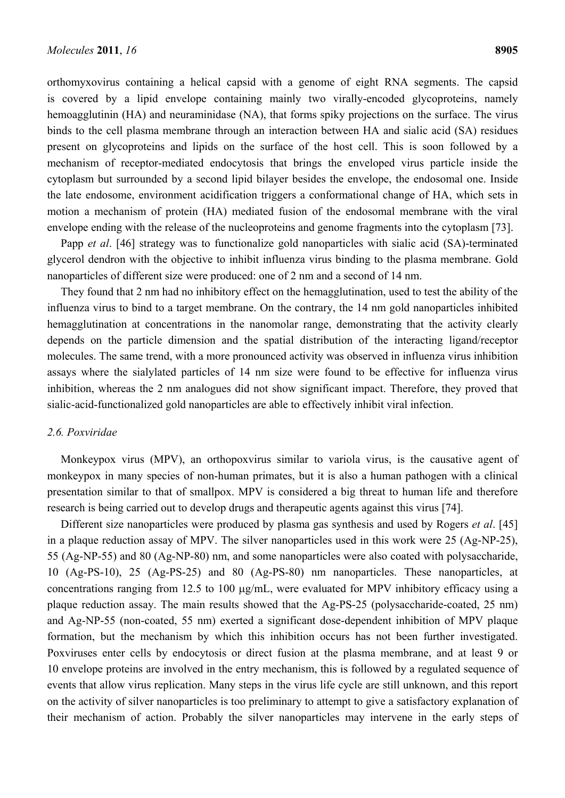orthomyxovirus containing a helical capsid with a genome of eight RNA segments. The capsid is covered by a lipid envelope containing mainly two virally-encoded glycoproteins, namely hemoagglutinin (HA) and neuraminidase (NA), that forms spiky projections on the surface. The virus binds to the cell plasma membrane through an interaction between HA and sialic acid (SA) residues present on glycoproteins and lipids on the surface of the host cell. This is soon followed by a mechanism of receptor-mediated endocytosis that brings the enveloped virus particle inside the cytoplasm but surrounded by a second lipid bilayer besides the envelope, the endosomal one. Inside the late endosome, environment acidification triggers a conformational change of HA, which sets in motion a mechanism of protein (HA) mediated fusion of the endosomal membrane with the viral envelope ending with the release of the nucleoproteins and genome fragments into the cytoplasm [73].

Papp *et al*. [46] strategy was to functionalize gold nanoparticles with sialic acid (SA)-terminated glycerol dendron with the objective to inhibit influenza virus binding to the plasma membrane. Gold nanoparticles of different size were produced: one of 2 nm and a second of 14 nm.

They found that 2 nm had no inhibitory effect on the hemagglutination, used to test the ability of the influenza virus to bind to a target membrane. On the contrary, the 14 nm gold nanoparticles inhibited hemagglutination at concentrations in the nanomolar range, demonstrating that the activity clearly depends on the particle dimension and the spatial distribution of the interacting ligand/receptor molecules. The same trend, with a more pronounced activity was observed in influenza virus inhibition assays where the sialylated particles of 14 nm size were found to be effective for influenza virus inhibition, whereas the 2 nm analogues did not show significant impact. Therefore, they proved that sialic-acid-functionalized gold nanoparticles are able to effectively inhibit viral infection.

# *2.6. Poxviridae*

Monkeypox virus (MPV), an orthopoxvirus similar to variola virus, is the causative agent of monkeypox in many species of non-human primates, but it is also a human pathogen with a clinical presentation similar to that of smallpox. MPV is considered a big threat to human life and therefore research is being carried out to develop drugs and therapeutic agents against this virus [74].

Different size nanoparticles were produced by plasma gas synthesis and used by Rogers *et al*. [45] in a plaque reduction assay of MPV. The silver nanoparticles used in this work were 25 (Ag-NP-25), 55 (Ag-NP-55) and 80 (Ag-NP-80) nm, and some nanoparticles were also coated with polysaccharide, 10 (Ag-PS-10), 25 (Ag-PS-25) and 80 (Ag-PS-80) nm nanoparticles. These nanoparticles, at concentrations ranging from 12.5 to 100  $\mu$ g/mL, were evaluated for MPV inhibitory efficacy using a plaque reduction assay. The main results showed that the Ag-PS-25 (polysaccharide-coated, 25 nm) and Ag-NP-55 (non-coated, 55 nm) exerted a significant dose-dependent inhibition of MPV plaque formation, but the mechanism by which this inhibition occurs has not been further investigated. Poxviruses enter cells by endocytosis or direct fusion at the plasma membrane, and at least 9 or 10 envelope proteins are involved in the entry mechanism, this is followed by a regulated sequence of events that allow virus replication. Many steps in the virus life cycle are still unknown, and this report on the activity of silver nanoparticles is too preliminary to attempt to give a satisfactory explanation of their mechanism of action. Probably the silver nanoparticles may intervene in the early steps of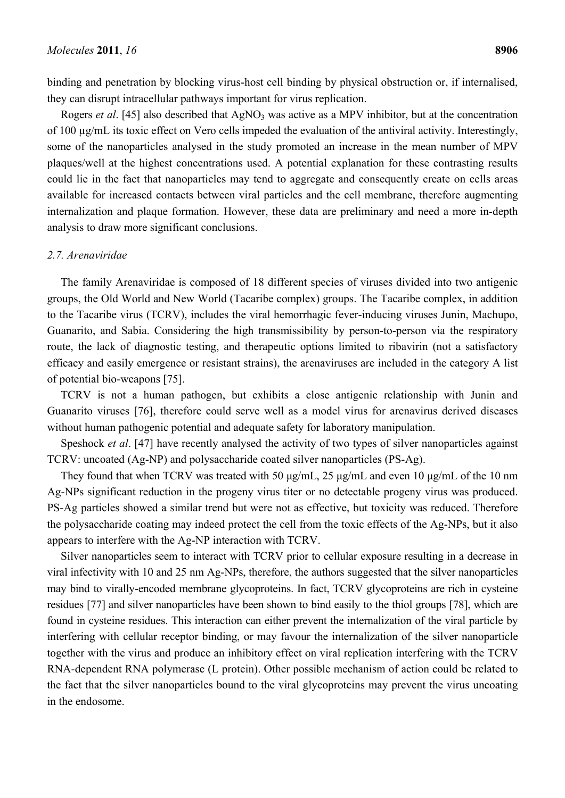binding and penetration by blocking virus-host cell binding by physical obstruction or, if internalised, they can disrupt intracellular pathways important for virus replication.

Rogers *et al.* [45] also described that AgNO<sub>3</sub> was active as a MPV inhibitor, but at the concentration of 100 µg/mL its toxic effect on Vero cells impeded the evaluation of the antiviral activity. Interestingly, some of the nanoparticles analysed in the study promoted an increase in the mean number of MPV plaques/well at the highest concentrations used. A potential explanation for these contrasting results could lie in the fact that nanoparticles may tend to aggregate and consequently create on cells areas available for increased contacts between viral particles and the cell membrane, therefore augmenting internalization and plaque formation. However, these data are preliminary and need a more in-depth analysis to draw more significant conclusions.

### *2.7. Arenaviridae*

The family Arenaviridae is composed of 18 different species of viruses divided into two antigenic groups, the Old World and New World (Tacaribe complex) groups. The Tacaribe complex, in addition to the Tacaribe virus (TCRV), includes the viral hemorrhagic fever-inducing viruses Junin, Machupo, Guanarito, and Sabia. Considering the high transmissibility by person-to-person via the respiratory route, the lack of diagnostic testing, and therapeutic options limited to ribavirin (not a satisfactory efficacy and easily emergence or resistant strains), the arenaviruses are included in the category A list of potential bio-weapons [75].

TCRV is not a human pathogen, but exhibits a close antigenic relationship with Junin and Guanarito viruses [76], therefore could serve well as a model virus for arenavirus derived diseases without human pathogenic potential and adequate safety for laboratory manipulation.

Speshock *et al*. [47] have recently analysed the activity of two types of silver nanoparticles against TCRV: uncoated (Ag-NP) and polysaccharide coated silver nanoparticles (PS-Ag).

They found that when TCRV was treated with 50 μg/mL, 25 μg/mL and even 10 μg/mL of the 10 nm Ag-NPs significant reduction in the progeny virus titer or no detectable progeny virus was produced. PS-Ag particles showed a similar trend but were not as effective, but toxicity was reduced. Therefore the polysaccharide coating may indeed protect the cell from the toxic effects of the Ag-NPs, but it also appears to interfere with the Ag-NP interaction with TCRV.

Silver nanoparticles seem to interact with TCRV prior to cellular exposure resulting in a decrease in viral infectivity with 10 and 25 nm Ag-NPs, therefore, the authors suggested that the silver nanoparticles may bind to virally-encoded membrane glycoproteins. In fact, TCRV glycoproteins are rich in cysteine residues [77] and silver nanoparticles have been shown to bind easily to the thiol groups [78], which are found in cysteine residues. This interaction can either prevent the internalization of the viral particle by interfering with cellular receptor binding, or may favour the internalization of the silver nanoparticle together with the virus and produce an inhibitory effect on viral replication interfering with the TCRV RNA-dependent RNA polymerase (L protein). Other possible mechanism of action could be related to the fact that the silver nanoparticles bound to the viral glycoproteins may prevent the virus uncoating in the endosome.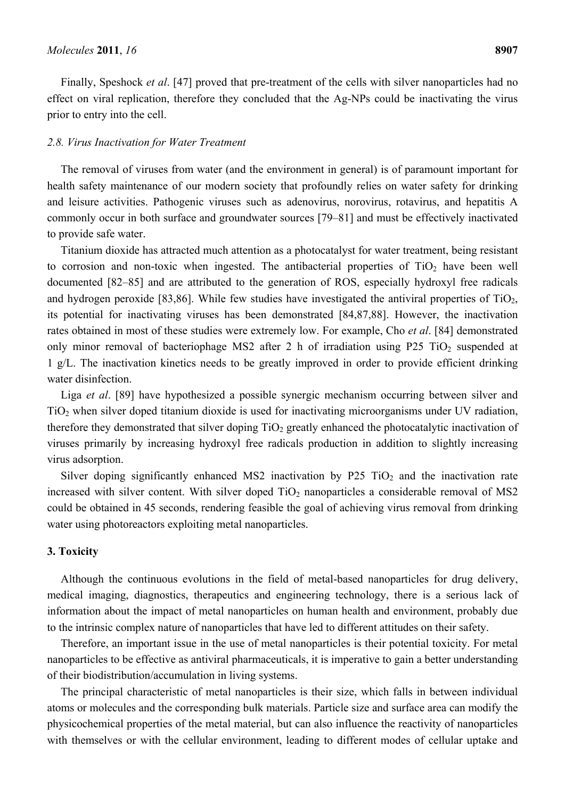Finally, Speshock *et al*. [47] proved that pre-treatment of the cells with silver nanoparticles had no effect on viral replication, therefore they concluded that the Ag-NPs could be inactivating the virus prior to entry into the cell.

#### *2.8. Virus Inactivation for Water Treatment*

The removal of viruses from water (and the environment in general) is of paramount important for health safety maintenance of our modern society that profoundly relies on water safety for drinking and leisure activities. Pathogenic viruses such as adenovirus, norovirus, rotavirus, and hepatitis A commonly occur in both surface and groundwater sources [79–81] and must be effectively inactivated to provide safe water.

Titanium dioxide has attracted much attention as a photocatalyst for water treatment, being resistant to corrosion and non-toxic when ingested. The antibacterial properties of  $TiO<sub>2</sub>$  have been well documented [82–85] and are attributed to the generation of ROS, especially hydroxyl free radicals and hydrogen peroxide [83,86]. While few studies have investigated the antiviral properties of  $TiO<sub>2</sub>$ , its potential for inactivating viruses has been demonstrated [84,87,88]. However, the inactivation rates obtained in most of these studies were extremely low. For example, Cho *et al*. [84] demonstrated only minor removal of bacteriophage MS2 after 2 h of irradiation using P25 TiO<sub>2</sub> suspended at 1 g/L. The inactivation kinetics needs to be greatly improved in order to provide efficient drinking water disinfection.

Liga *et al*. [89] have hypothesized a possible synergic mechanism occurring between silver and  $TiO<sub>2</sub>$  when silver doped titanium dioxide is used for inactivating microorganisms under UV radiation, therefore they demonstrated that silver doping  $TiO<sub>2</sub>$  greatly enhanced the photocatalytic inactivation of viruses primarily by increasing hydroxyl free radicals production in addition to slightly increasing virus adsorption.

Silver doping significantly enhanced MS2 inactivation by P25  $TiO<sub>2</sub>$  and the inactivation rate increased with silver content. With silver doped  $TiO<sub>2</sub>$  nanoparticles a considerable removal of MS2 could be obtained in 45 seconds, rendering feasible the goal of achieving virus removal from drinking water using photoreactors exploiting metal nanoparticles.

# **3. Toxicity**

Although the continuous evolutions in the field of metal-based nanoparticles for drug delivery, medical imaging, diagnostics, therapeutics and engineering technology, there is a serious lack of information about the impact of metal nanoparticles on human health and environment, probably due to the intrinsic complex nature of nanoparticles that have led to different attitudes on their safety.

Therefore, an important issue in the use of metal nanoparticles is their potential toxicity. For metal nanoparticles to be effective as antiviral pharmaceuticals, it is imperative to gain a better understanding of their biodistribution/accumulation in living systems.

The principal characteristic of metal nanoparticles is their size, which falls in between individual atoms or molecules and the corresponding bulk materials. Particle size and surface area can modify the physicochemical properties of the metal material, but can also influence the reactivity of nanoparticles with themselves or with the cellular environment, leading to different modes of cellular uptake and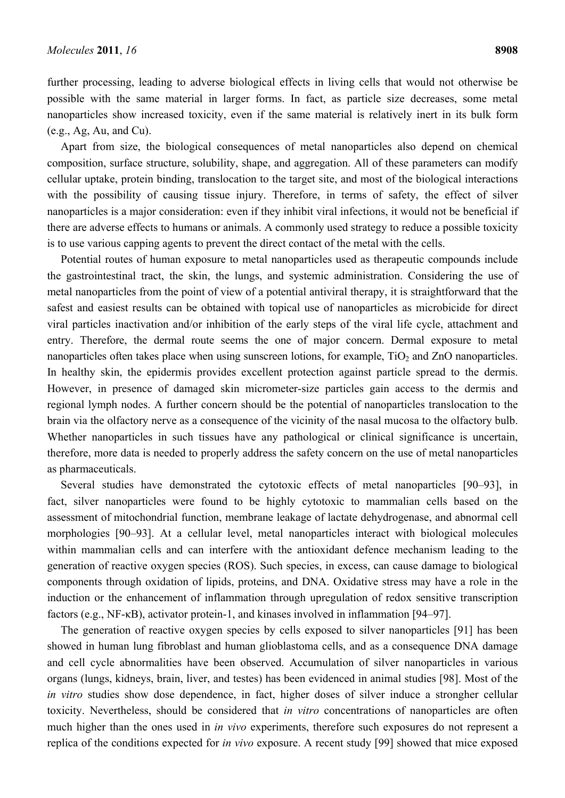further processing, leading to adverse biological effects in living cells that would not otherwise be possible with the same material in larger forms. In fact, as particle size decreases, some metal nanoparticles show increased toxicity, even if the same material is relatively inert in its bulk form (e.g., Ag, Au, and Cu).

Apart from size, the biological consequences of metal nanoparticles also depend on chemical composition, surface structure, solubility, shape, and aggregation. All of these parameters can modify cellular uptake, protein binding, translocation to the target site, and most of the biological interactions with the possibility of causing tissue injury. Therefore, in terms of safety, the effect of silver nanoparticles is a major consideration: even if they inhibit viral infections, it would not be beneficial if there are adverse effects to humans or animals. A commonly used strategy to reduce a possible toxicity is to use various capping agents to prevent the direct contact of the metal with the cells.

Potential routes of human exposure to metal nanoparticles used as therapeutic compounds include the gastrointestinal tract, the skin, the lungs, and systemic administration. Considering the use of metal nanoparticles from the point of view of a potential antiviral therapy, it is straightforward that the safest and easiest results can be obtained with topical use of nanoparticles as microbicide for direct viral particles inactivation and/or inhibition of the early steps of the viral life cycle, attachment and entry. Therefore, the dermal route seems the one of major concern. Dermal exposure to metal nanoparticles often takes place when using sunscreen lotions, for example,  $TiO<sub>2</sub>$  and  $ZnO$  nanoparticles. In healthy skin, the epidermis provides excellent protection against particle spread to the dermis. However, in presence of damaged skin micrometer-size particles gain access to the dermis and regional lymph nodes. A further concern should be the potential of nanoparticles translocation to the brain via the olfactory nerve as a consequence of the vicinity of the nasal mucosa to the olfactory bulb. Whether nanoparticles in such tissues have any pathological or clinical significance is uncertain, therefore, more data is needed to properly address the safety concern on the use of metal nanoparticles as pharmaceuticals.

Several studies have demonstrated the cytotoxic effects of metal nanoparticles [90–93], in fact, silver nanoparticles were found to be highly cytotoxic to mammalian cells based on the assessment of mitochondrial function, membrane leakage of lactate dehydrogenase, and abnormal cell morphologies [90–93]. At a cellular level, metal nanoparticles interact with biological molecules within mammalian cells and can interfere with the antioxidant defence mechanism leading to the generation of reactive oxygen species (ROS). Such species, in excess, can cause damage to biological components through oxidation of lipids, proteins, and DNA. Oxidative stress may have a role in the induction or the enhancement of inflammation through upregulation of redox sensitive transcription factors (e.g., NF-κB), activator protein-1, and kinases involved in inflammation [94–97].

The generation of reactive oxygen species by cells exposed to silver nanoparticles [91] has been showed in human lung fibroblast and human glioblastoma cells, and as a consequence DNA damage and cell cycle abnormalities have been observed. Accumulation of silver nanoparticles in various organs (lungs, kidneys, brain, liver, and testes) has been evidenced in animal studies [98]. Most of the *in vitro* studies show dose dependence, in fact, higher doses of silver induce a strongher cellular toxicity. Nevertheless, should be considered that *in vitro* concentrations of nanoparticles are often much higher than the ones used in *in vivo* experiments, therefore such exposures do not represent a replica of the conditions expected for *in vivo* exposure. A recent study [99] showed that mice exposed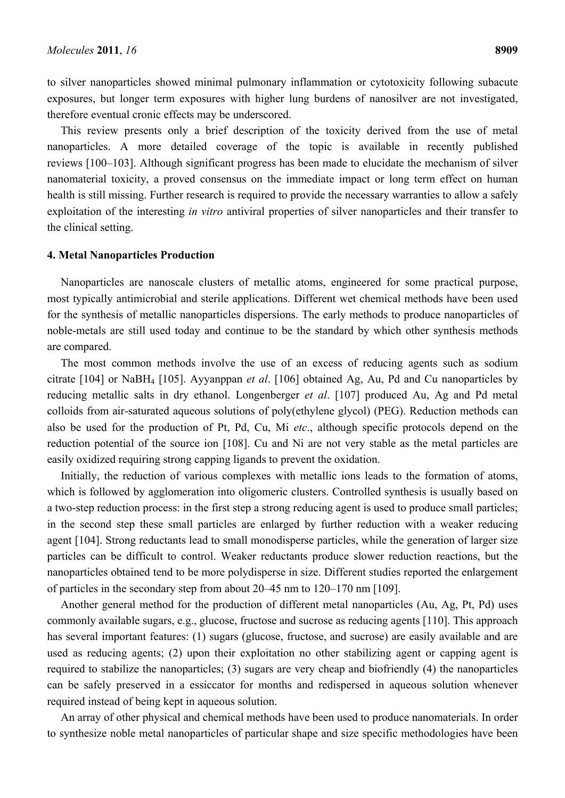to silver nanoparticles showed minimal pulmonary inflammation or cytotoxicity following subacute exposures, but longer term exposures with higher lung burdens of nanosilver are not investigated, therefore eventual cronic effects may be underscored.

This review presents only a brief description of the toxicity derived from the use of metal nanoparticles. A more detailed coverage of the topic is available in recently published reviews [100–103]. Although significant progress has been made to elucidate the mechanism of silver nanomaterial toxicity, a proved consensus on the immediate impact or long term effect on human health is still missing. Further research is required to provide the necessary warranties to allow a safely exploitation of the interesting *in vitro* antiviral properties of silver nanoparticles and their transfer to the clinical setting.

#### **4. Metal Nanoparticles Production**

Nanoparticles are nanoscale clusters of metallic atoms, engineered for some practical purpose, most typically antimicrobial and sterile applications. Different wet chemical methods have been used for the synthesis of metallic nanoparticles dispersions. The early methods to produce nanoparticles of noble-metals are still used today and continue to be the standard by which other synthesis methods are compared.

The most common methods involve the use of an excess of reducing agents such as sodium citrate [104] or NaBH4 [105]. Ayyanppan *et al*. [106] obtained Ag, Au, Pd and Cu nanoparticles by reducing metallic salts in dry ethanol. Longenberger *et al*. [107] produced Au, Ag and Pd metal colloids from air-saturated aqueous solutions of poly(ethylene glycol) (PEG). Reduction methods can also be used for the production of Pt, Pd, Cu, Mi *etc*., although specific protocols depend on the reduction potential of the source ion [108]. Cu and Ni are not very stable as the metal particles are easily oxidized requiring strong capping ligands to prevent the oxidation.

Initially, the reduction of various complexes with metallic ions leads to the formation of atoms, which is followed by agglomeration into oligomeric clusters. Controlled synthesis is usually based on a two-step reduction process: in the first step a strong reducing agent is used to produce small particles; in the second step these small particles are enlarged by further reduction with a weaker reducing agent [104]. Strong reductants lead to small monodisperse particles, while the generation of larger size particles can be difficult to control. Weaker reductants produce slower reduction reactions, but the nanoparticles obtained tend to be more polydisperse in size. Different studies reported the enlargement of particles in the secondary step from about 20–45 nm to 120–170 nm [109].

Another general method for the production of different metal nanoparticles (Au, Ag, Pt, Pd) uses commonly available sugars, e.g., glucose, fructose and sucrose as reducing agents [110]. This approach has several important features: (1) sugars (glucose, fructose, and sucrose) are easily available and are used as reducing agents; (2) upon their exploitation no other stabilizing agent or capping agent is required to stabilize the nanoparticles; (3) sugars are very cheap and biofriendly (4) the nanoparticles can be safely preserved in a essiccator for months and redispersed in aqueous solution whenever required instead of being kept in aqueous solution.

An array of other physical and chemical methods have been used to produce nanomaterials. In order to synthesize noble metal nanoparticles of particular shape and size specific methodologies have been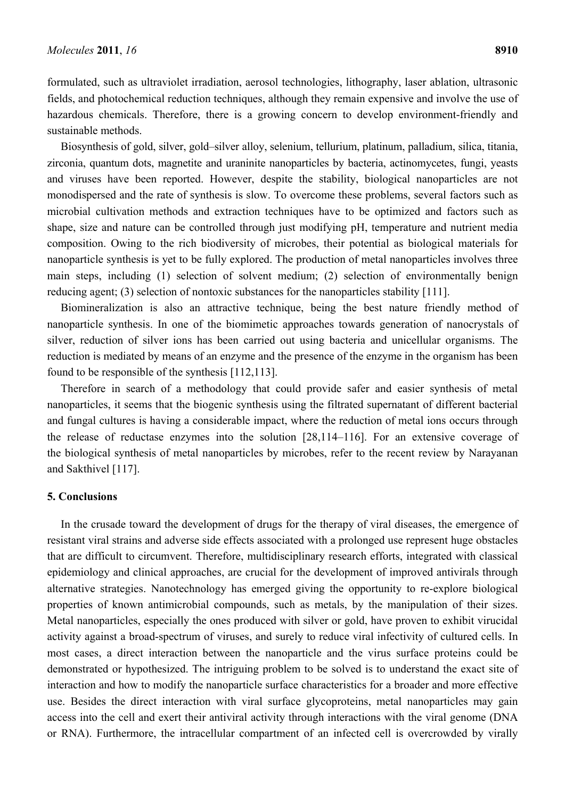formulated, such as ultraviolet irradiation, aerosol technologies, lithography, laser ablation, ultrasonic fields, and photochemical reduction techniques, although they remain expensive and involve the use of hazardous chemicals. Therefore, there is a growing concern to develop environment-friendly and sustainable methods.

Biosynthesis of gold, silver, gold–silver alloy, selenium, tellurium, platinum, palladium, silica, titania, zirconia, quantum dots, magnetite and uraninite nanoparticles by bacteria, actinomycetes, fungi, yeasts and viruses have been reported. However, despite the stability, biological nanoparticles are not monodispersed and the rate of synthesis is slow. To overcome these problems, several factors such as microbial cultivation methods and extraction techniques have to be optimized and factors such as shape, size and nature can be controlled through just modifying pH, temperature and nutrient media composition. Owing to the rich biodiversity of microbes, their potential as biological materials for nanoparticle synthesis is yet to be fully explored. The production of metal nanoparticles involves three main steps, including (1) selection of solvent medium; (2) selection of environmentally benign reducing agent; (3) selection of nontoxic substances for the nanoparticles stability [111].

Biomineralization is also an attractive technique, being the best nature friendly method of nanoparticle synthesis. In one of the biomimetic approaches towards generation of nanocrystals of silver, reduction of silver ions has been carried out using bacteria and unicellular organisms. The reduction is mediated by means of an enzyme and the presence of the enzyme in the organism has been found to be responsible of the synthesis [112,113].

Therefore in search of a methodology that could provide safer and easier synthesis of metal nanoparticles, it seems that the biogenic synthesis using the filtrated supernatant of different bacterial and fungal cultures is having a considerable impact, where the reduction of metal ions occurs through the release of reductase enzymes into the solution [28,114–116]. For an extensive coverage of the biological synthesis of metal nanoparticles by microbes, refer to the recent review by Narayanan and Sakthivel [117].

# **5. Conclusions**

In the crusade toward the development of drugs for the therapy of viral diseases, the emergence of resistant viral strains and adverse side effects associated with a prolonged use represent huge obstacles that are difficult to circumvent. Therefore, multidisciplinary research efforts, integrated with classical epidemiology and clinical approaches, are crucial for the development of improved antivirals through alternative strategies. Nanotechnology has emerged giving the opportunity to re-explore biological properties of known antimicrobial compounds, such as metals, by the manipulation of their sizes. Metal nanoparticles, especially the ones produced with silver or gold, have proven to exhibit virucidal activity against a broad-spectrum of viruses, and surely to reduce viral infectivity of cultured cells. In most cases, a direct interaction between the nanoparticle and the virus surface proteins could be demonstrated or hypothesized. The intriguing problem to be solved is to understand the exact site of interaction and how to modify the nanoparticle surface characteristics for a broader and more effective use. Besides the direct interaction with viral surface glycoproteins, metal nanoparticles may gain access into the cell and exert their antiviral activity through interactions with the viral genome (DNA or RNA). Furthermore, the intracellular compartment of an infected cell is overcrowded by virally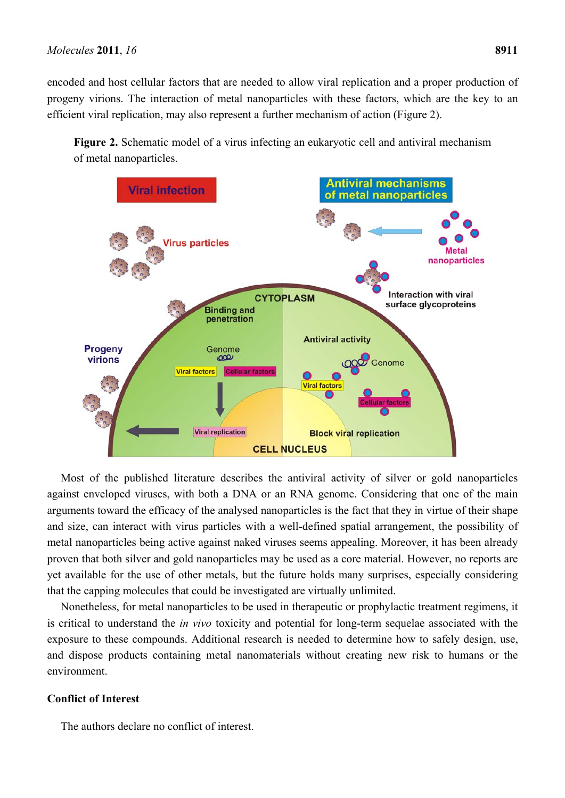encoded and host cellular factors that are needed to allow viral replication and a proper production of progeny virions. The interaction of metal nanoparticles with these factors, which are the key to an efficient viral replication, may also represent a further mechanism of action (Figure 2).

**Figure 2.** Schematic model of a virus infecting an eukaryotic cell and antiviral mechanism of metal nanoparticles.



Most of the published literature describes the antiviral activity of silver or gold nanoparticles against enveloped viruses, with both a DNA or an RNA genome. Considering that one of the main arguments toward the efficacy of the analysed nanoparticles is the fact that they in virtue of their shape and size, can interact with virus particles with a well-defined spatial arrangement, the possibility of metal nanoparticles being active against naked viruses seems appealing. Moreover, it has been already proven that both silver and gold nanoparticles may be used as a core material. However, no reports are yet available for the use of other metals, but the future holds many surprises, especially considering that the capping molecules that could be investigated are virtually unlimited.

Nonetheless, for metal nanoparticles to be used in therapeutic or prophylactic treatment regimens, it is critical to understand the *in vivo* toxicity and potential for long-term sequelae associated with the exposure to these compounds. Additional research is needed to determine how to safely design, use, and dispose products containing metal nanomaterials without creating new risk to humans or the environment.

# **Conflict of Interest**

The authors declare no conflict of interest.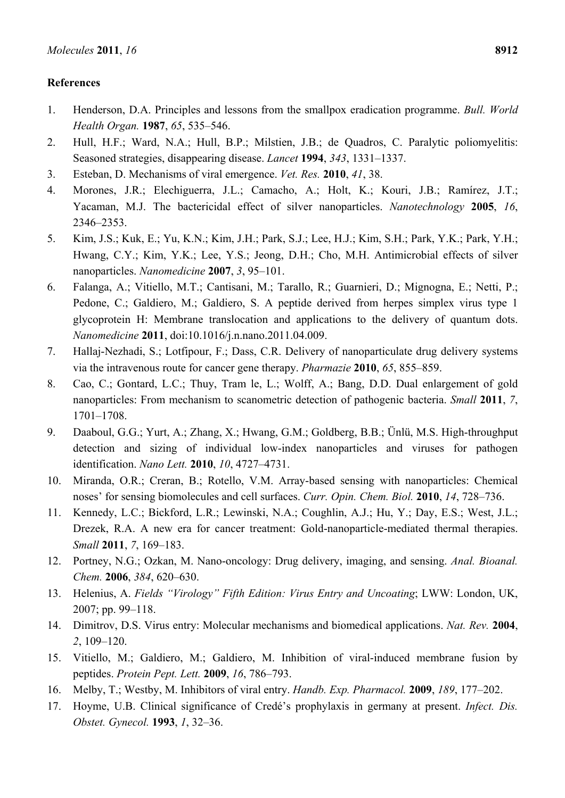# **References**

- 1. Henderson, D.A. Principles and lessons from the smallpox eradication programme. *Bull. World Health Organ.* **1987**, *65*, 535–546.
- 2. Hull, H.F.; Ward, N.A.; Hull, B.P.; Milstien, J.B.; de Quadros, C. Paralytic poliomyelitis: Seasoned strategies, disappearing disease. *Lancet* **1994**, *343*, 1331–1337.
- 3. Esteban, D. Mechanisms of viral emergence. *Vet. Res.* **2010**, *41*, 38.
- 4. Morones, J.R.; Elechiguerra, J.L.; Camacho, A.; Holt, K.; Kouri, J.B.; Ramírez, J.T.; Yacaman, M.J. The bactericidal effect of silver nanoparticles. *Nanotechnology* **2005**, *16*, 2346–2353.
- 5. Kim, J.S.; Kuk, E.; Yu, K.N.; Kim, J.H.; Park, S.J.; Lee, H.J.; Kim, S.H.; Park, Y.K.; Park, Y.H.; Hwang, C.Y.; Kim, Y.K.; Lee, Y.S.; Jeong, D.H.; Cho, M.H. Antimicrobial effects of silver nanoparticles. *Nanomedicine* **2007**, *3*, 95–101.
- 6. Falanga, A.; Vitiello, M.T.; Cantisani, M.; Tarallo, R.; Guarnieri, D.; Mignogna, E.; Netti, P.; Pedone, C.; Galdiero, M.; Galdiero, S. A peptide derived from herpes simplex virus type 1 glycoprotein H: Membrane translocation and applications to the delivery of quantum dots. *Nanomedicine* **2011**, doi:10.1016/j.n.nano.2011.04.009.
- 7. Hallaj-Nezhadi, S.; Lotfipour, F.; Dass, C.R. Delivery of nanoparticulate drug delivery systems via the intravenous route for cancer gene therapy. *Pharmazie* **2010**, *65*, 855–859.
- 8. Cao, C.; Gontard, L.C.; Thuy, Tram le, L.; Wolff, A.; Bang, D.D. Dual enlargement of gold nanoparticles: From mechanism to scanometric detection of pathogenic bacteria. *Small* **2011**, *7*, 1701–1708.
- 9. Daaboul, G.G.; Yurt, A.; Zhang, X.; Hwang, G.M.; Goldberg, B.B.; Ünlü, M.S. High-throughput detection and sizing of individual low-index nanoparticles and viruses for pathogen identification. *Nano Lett.* **2010**, *10*, 4727–4731.
- 10. Miranda, O.R.; Creran, B.; Rotello, V.M. Array-based sensing with nanoparticles: Chemical noses' for sensing biomolecules and cell surfaces. *Curr. Opin. Chem. Biol.* **2010**, *14*, 728–736.
- 11. Kennedy, L.C.; Bickford, L.R.; Lewinski, N.A.; Coughlin, A.J.; Hu, Y.; Day, E.S.; West, J.L.; Drezek, R.A. A new era for cancer treatment: Gold-nanoparticle-mediated thermal therapies. *Small* **2011**, *7*, 169–183.
- 12. Portney, N.G.; Ozkan, M. Nano-oncology: Drug delivery, imaging, and sensing. *Anal. Bioanal. Chem.* **2006**, *384*, 620–630.
- 13. Helenius, A. *Fields "Virology" Fifth Edition: Virus Entry and Uncoating*; LWW: London, UK, 2007; pp. 99–118.
- 14. Dimitrov, D.S. Virus entry: Molecular mechanisms and biomedical applications. *Nat. Rev.* **2004**, *2*, 109–120.
- 15. Vitiello, M.; Galdiero, M.; Galdiero, M. Inhibition of viral-induced membrane fusion by peptides. *Protein Pept. Lett.* **2009**, *16*, 786–793.
- 16. Melby, T.; Westby, M. Inhibitors of viral entry. *Handb. Exp. Pharmacol.* **2009**, *189*, 177–202.
- 17. Hoyme, U.B. Clinical significance of Credé's prophylaxis in germany at present. *Infect. Dis. Obstet. Gynecol.* **1993**, *1*, 32–36.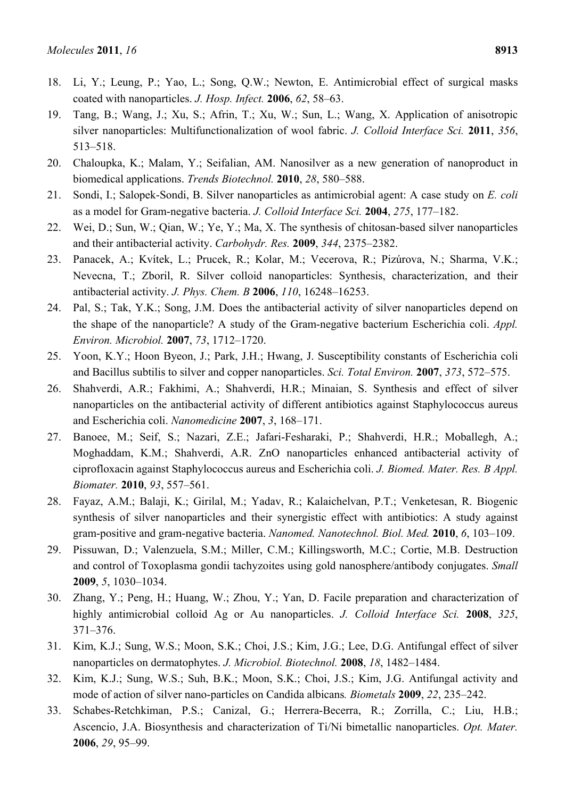- 18. Li, Y.; Leung, P.; Yao, L.; Song, Q.W.; Newton, E. Antimicrobial effect of surgical masks coated with nanoparticles. *J. Hosp. Infect.* **2006**, *62*, 58–63.
- 19. Tang, B.; Wang, J.; Xu, S.; Afrin, T.; Xu, W.; Sun, L.; Wang, X. Application of anisotropic silver nanoparticles: Multifunctionalization of wool fabric. *J. Colloid Interface Sci.* **2011**, *356*, 513–518.
- 20. Chaloupka, K.; Malam, Y.; Seifalian, AM. Nanosilver as a new generation of nanoproduct in biomedical applications. *Trends Biotechnol.* **2010**, *28*, 580–588.
- 21. Sondi, I.; Salopek-Sondi, B. Silver nanoparticles as antimicrobial agent: A case study on *E. coli* as a model for Gram-negative bacteria. *J. Colloid Interface Sci.* **2004**, *275*, 177–182.
- 22. Wei, D.; Sun, W.; Qian, W.; Ye, Y.; Ma, X. The synthesis of chitosan-based silver nanoparticles and their antibacterial activity. *Carbohydr. Res.* **2009**, *344*, 2375–2382.
- 23. Panacek, A.; Kvítek, L.; Prucek, R.; Kolar, M.; Vecerova, R.; Pizúrova, N.; Sharma, V.K.; Nevecna, T.; Zboril, R. Silver colloid nanoparticles: Synthesis, characterization, and their antibacterial activity. *J. Phys. Chem. B* **2006**, *110*, 16248–16253.
- 24. Pal, S.; Tak, Y.K.; Song, J.M. Does the antibacterial activity of silver nanoparticles depend on the shape of the nanoparticle? A study of the Gram-negative bacterium Escherichia coli. *Appl. Environ. Microbiol.* **2007**, *73*, 1712–1720.
- 25. Yoon, K.Y.; Hoon Byeon, J.; Park, J.H.; Hwang, J. Susceptibility constants of Escherichia coli and Bacillus subtilis to silver and copper nanoparticles. *Sci. Total Environ.* **2007**, *373*, 572–575.
- 26. Shahverdi, A.R.; Fakhimi, A.; Shahverdi, H.R.; Minaian, S. Synthesis and effect of silver nanoparticles on the antibacterial activity of different antibiotics against Staphylococcus aureus and Escherichia coli. *Nanomedicine* **2007**, *3*, 168–171.
- 27. Banoee, M.; Seif, S.; Nazari, Z.E.; Jafari-Fesharaki, P.; Shahverdi, H.R.; Moballegh, A.; Moghaddam, K.M.; Shahverdi, A.R. ZnO nanoparticles enhanced antibacterial activity of ciprofloxacin against Staphylococcus aureus and Escherichia coli. *J. Biomed. Mater. Res. B Appl. Biomater.* **2010**, *93*, 557–561.
- 28. Fayaz, A.M.; Balaji, K.; Girilal, M.; Yadav, R.; Kalaichelvan, P.T.; Venketesan, R. Biogenic synthesis of silver nanoparticles and their synergistic effect with antibiotics: A study against gram-positive and gram-negative bacteria. *Nanomed. Nanotechnol. Biol. Med.* **2010**, *6*, 103–109.
- 29. Pissuwan, D.; Valenzuela, S.M.; Miller, C.M.; Killingsworth, M.C.; Cortie, M.B. Destruction and control of Toxoplasma gondii tachyzoites using gold nanosphere/antibody conjugates. *Small* **2009**, *5*, 1030–1034.
- 30. Zhang, Y.; Peng, H.; Huang, W.; Zhou, Y.; Yan, D. Facile preparation and characterization of highly antimicrobial colloid Ag or Au nanoparticles. *J. Colloid Interface Sci.* **2008**, *325*, 371–376.
- 31. Kim, K.J.; Sung, W.S.; Moon, S.K.; Choi, J.S.; Kim, J.G.; Lee, D.G. Antifungal effect of silver nanoparticles on dermatophytes. *J. Microbiol. Biotechnol.* **2008**, *18*, 1482–1484.
- 32. Kim, K.J.; Sung, W.S.; Suh, B.K.; Moon, S.K.; Choi, J.S.; Kim, J.G. Antifungal activity and mode of action of silver nano-particles on Candida albicans*. Biometals* **2009**, *22*, 235–242.
- 33. Schabes-Retchkiman, P.S.; Canizal, G.; Herrera-Becerra, R.; Zorrilla, C.; Liu, H.B.; Ascencio, J.A. Biosynthesis and characterization of Ti/Ni bimetallic nanoparticles. *Opt. Mater.* **2006**, *29*, 95–99.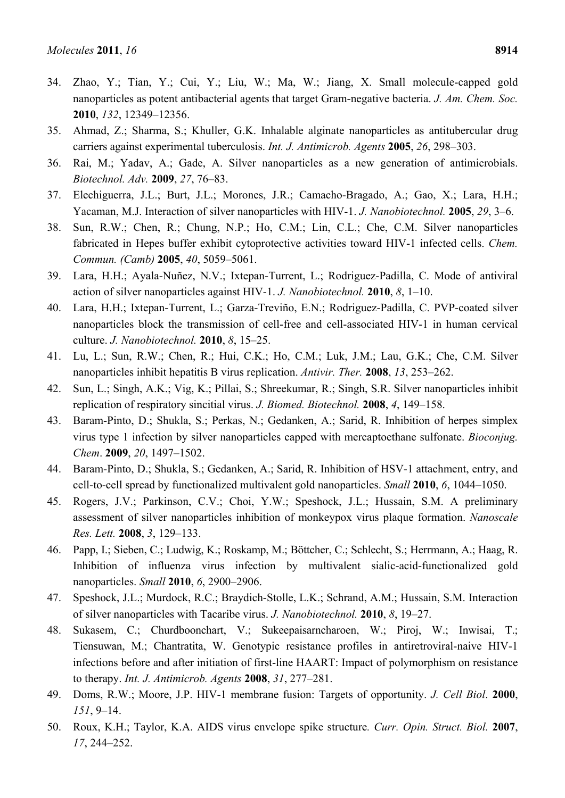- 34. Zhao, Y.; Tian, Y.; Cui, Y.; Liu, W.; Ma, W.; Jiang, X. Small molecule-capped gold nanoparticles as potent antibacterial agents that target Gram-negative bacteria. *J. Am. Chem. Soc.* **2010**, *132*, 12349–12356.
- 35. Ahmad, Z.; Sharma, S.; Khuller, G.K. Inhalable alginate nanoparticles as antitubercular drug carriers against experimental tuberculosis. *Int. J. Antimicrob. Agents* **2005**, *26*, 298–303.
- 36. Rai, M.; Yadav, A.; Gade, A. Silver nanoparticles as a new generation of antimicrobials. *Biotechnol. Adv.* **2009**, *27*, 76–83.
- 37. Elechiguerra, J.L.; Burt, J.L.; Morones, J.R.; Camacho-Bragado, A.; Gao, X.; Lara, H.H.; Yacaman, M.J. Interaction of silver nanoparticles with HIV-1. *J. Nanobiotechnol.* **2005**, *29*, 3–6.
- 38. Sun, R.W.; Chen, R.; Chung, N.P.; Ho, C.M.; Lin, C.L.; Che, C.M. Silver nanoparticles fabricated in Hepes buffer exhibit cytoprotective activities toward HIV-1 infected cells. *Chem. Commun. (Camb)* **2005**, *40*, 5059–5061.
- 39. Lara, H.H.; Ayala-Nuñez, N.V.; Ixtepan-Turrent, L.; Rodriguez-Padilla, C. Mode of antiviral action of silver nanoparticles against HIV-1. *J. Nanobiotechnol.* **2010**, *8*, 1–10.
- 40. Lara, H.H.; Ixtepan-Turrent, L.; Garza-Treviño, E.N.; Rodriguez-Padilla, C. PVP-coated silver nanoparticles block the transmission of cell-free and cell-associated HIV-1 in human cervical culture. *J. Nanobiotechnol.* **2010**, *8*, 15–25.
- 41. Lu, L.; Sun, R.W.; Chen, R.; Hui, C.K.; Ho, C.M.; Luk, J.M.; Lau, G.K.; Che, C.M. Silver nanoparticles inhibit hepatitis B virus replication. *Antivir. Ther.* **2008**, *13*, 253–262.
- 42. Sun, L.; Singh, A.K.; Vig, K.; Pillai, S.; Shreekumar, R.; Singh, S.R. Silver nanoparticles inhibit replication of respiratory sincitial virus. *J. Biomed. Biotechnol.* **2008**, *4*, 149–158.
- 43. Baram-Pinto, D.; Shukla, S.; Perkas, N.; Gedanken, A.; Sarid, R. Inhibition of herpes simplex virus type 1 infection by silver nanoparticles capped with mercaptoethane sulfonate. *Bioconjug. Chem*. **2009**, *20*, 1497–1502.
- 44. Baram-Pinto, D.; Shukla, S.; Gedanken, A.; Sarid, R. Inhibition of HSV-1 attachment, entry, and cell-to-cell spread by functionalized multivalent gold nanoparticles. *Small* **2010**, *6*, 1044–1050.
- 45. Rogers, J.V.; Parkinson, C.V.; Choi, Y.W.; Speshock, J.L.; Hussain, S.M. A preliminary assessment of silver nanoparticles inhibition of monkeypox virus plaque formation. *Nanoscale Res. Lett.* **2008**, *3*, 129–133.
- 46. Papp, I.; Sieben, C.; Ludwig, K.; Roskamp, M.; Böttcher, C.; Schlecht, S.; Herrmann, A.; Haag, R. Inhibition of influenza virus infection by multivalent sialic-acid-functionalized gold nanoparticles. *Small* **2010**, *6*, 2900–2906.
- 47. Speshock, J.L.; Murdock, R.C.; Braydich-Stolle, L.K.; Schrand, A.M.; Hussain, S.M. Interaction of silver nanoparticles with Tacaribe virus. *J. Nanobiotechnol.* **2010**, *8*, 19–27.
- 48. Sukasem, C.; Churdboonchart, V.; Sukeepaisarncharoen, W.; Piroj, W.; Inwisai, T.; Tiensuwan, M.; Chantratita, W. Genotypic resistance profiles in antiretroviral-naive HIV-1 infections before and after initiation of first-line HAART: Impact of polymorphism on resistance to therapy. *Int. J. Antimicrob. Agents* **2008**, *31*, 277–281.
- 49. Doms, R.W.; Moore, J.P. HIV-1 membrane fusion: Targets of opportunity. *J. Cell Biol*. **2000**, *151*, 9–14.
- 50. Roux, K.H.; Taylor, K.A. AIDS virus envelope spike structure*. Curr. Opin. Struct. Biol.* **2007**, *17*, 244–252.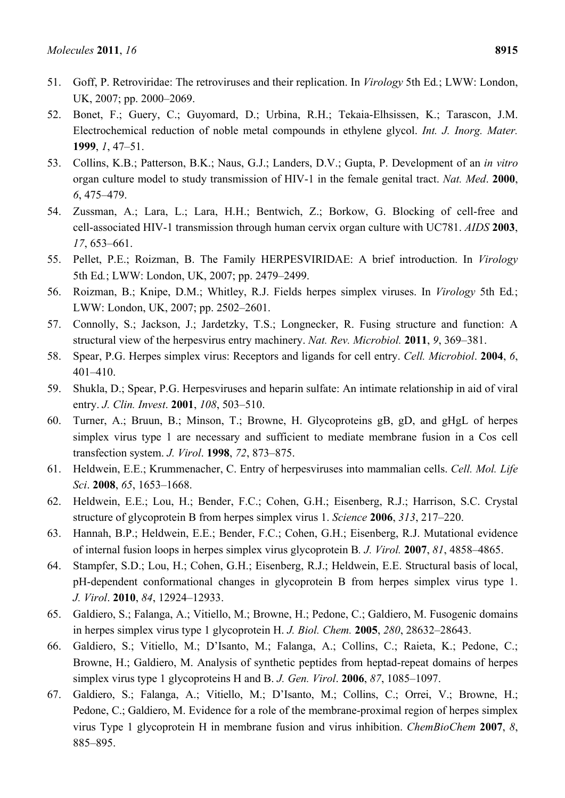- 51. Goff, P. Retroviridae: The retroviruses and their replication. In *Virology* 5th Ed*.*; LWW: London, UK, 2007; pp. 2000–2069.
- 52. Bonet, F.; Guery, C.; Guyomard, D.; Urbina, R.H.; Tekaia-Elhsissen, K.; Tarascon, J.M. Electrochemical reduction of noble metal compounds in ethylene glycol. *Int. J. Inorg. Mater.* **1999**, *1*, 47–51.
- 53. Collins, K.B.; Patterson, B.K.; Naus, G.J.; Landers, D.V.; Gupta, P. Development of an *in vitro* organ culture model to study transmission of HIV-1 in the female genital tract. *Nat. Med*. **2000**, *6*, 475–479.
- 54. Zussman, A.; Lara, L.; Lara, H.H.; Bentwich, Z.; Borkow, G. Blocking of cell-free and cell-associated HIV-1 transmission through human cervix organ culture with UC781. *AIDS* **2003**, *17*, 653–661.
- 55. Pellet, P.E.; Roizman, B. The Family HERPESVIRIDAE: A brief introduction. In *Virology*  5th Ed*.*; LWW: London, UK, 2007; pp. 2479–2499.
- 56. Roizman, B.; Knipe, D.M.; Whitley, R.J. Fields herpes simplex viruses. In *Virology* 5th Ed*.*; LWW: London, UK, 2007; pp. 2502–2601.
- 57. Connolly, S.; Jackson, J.; Jardetzky, T.S.; Longnecker, R. Fusing structure and function: A structural view of the herpesvirus entry machinery. *Nat. Rev. Microbiol.* **2011**, *9*, 369–381.
- 58. Spear, P.G. Herpes simplex virus: Receptors and ligands for cell entry. *Cell. Microbiol*. **2004**, *6*, 401–410.
- 59. Shukla, D.; Spear, P.G. Herpesviruses and heparin sulfate: An intimate relationship in aid of viral entry. *J. Clin. Invest*. **2001**, *108*, 503–510.
- 60. Turner, A.; Bruun, B.; Minson, T.; Browne, H. Glycoproteins gB, gD, and gHgL of herpes simplex virus type 1 are necessary and sufficient to mediate membrane fusion in a Cos cell transfection system. *J. Virol*. **1998**, *72*, 873–875.
- 61. Heldwein, E.E.; Krummenacher, C. Entry of herpesviruses into mammalian cells. *Cell. Mol. Life Sci*. **2008**, *65*, 1653–1668.
- 62. Heldwein, E.E.; Lou, H.; Bender, F.C.; Cohen, G.H.; Eisenberg, R.J.; Harrison, S.C. Crystal structure of glycoprotein B from herpes simplex virus 1. *Science* **2006**, *313*, 217–220.
- 63. Hannah, B.P.; Heldwein, E.E.; Bender, F.C.; Cohen, G.H.; Eisenberg, R.J. Mutational evidence of internal fusion loops in herpes simplex virus glycoprotein B*. J. Virol.* **2007**, *81*, 4858–4865.
- 64. Stampfer, S.D.; Lou, H.; Cohen, G.H.; Eisenberg, R.J.; Heldwein, E.E. Structural basis of local, pH-dependent conformational changes in glycoprotein B from herpes simplex virus type 1. *J. Virol*. **2010**, *84*, 12924–12933.
- 65. Galdiero, S.; Falanga, A.; Vitiello, M.; Browne, H.; Pedone, C.; Galdiero, M. Fusogenic domains in herpes simplex virus type 1 glycoprotein H. *J. Biol. Chem.* **2005**, *280*, 28632–28643.
- 66. Galdiero, S.; Vitiello, M.; D'Isanto, M.; Falanga, A.; Collins, C.; Raieta, K.; Pedone, C.; Browne, H.; Galdiero, M. Analysis of synthetic peptides from heptad-repeat domains of herpes simplex virus type 1 glycoproteins H and B. *J. Gen. Virol*. **2006**, *87*, 1085–1097.
- 67. Galdiero, S.; Falanga, A.; Vitiello, M.; D'Isanto, M.; Collins, C.; Orrei, V.; Browne, H.; Pedone, C.; Galdiero, M. Evidence for a role of the membrane-proximal region of herpes simplex virus Type 1 glycoprotein H in membrane fusion and virus inhibition. *ChemBioChem* **2007**, *8*, 885–895.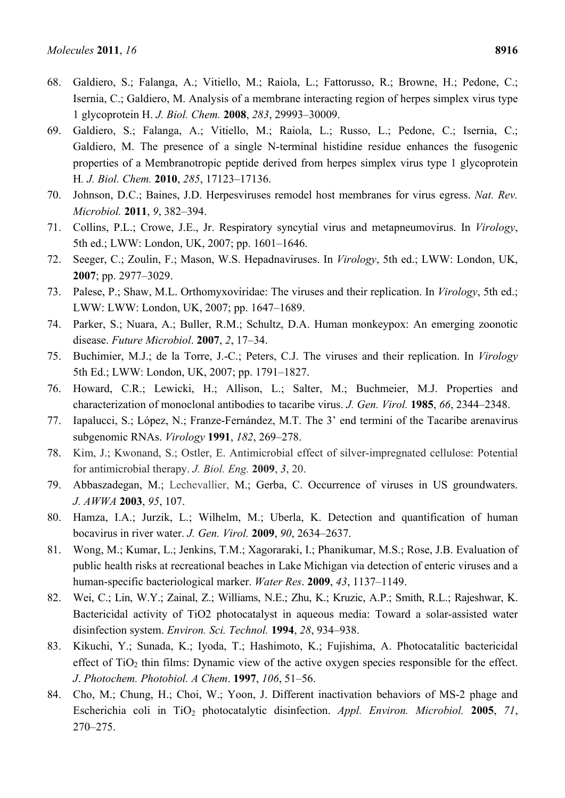- 68. Galdiero, S.; Falanga, A.; Vitiello, M.; Raiola, L.; Fattorusso, R.; Browne, H.; Pedone, C.; Isernia, C.; Galdiero, M. Analysis of a membrane interacting region of herpes simplex virus type 1 glycoprotein H. *J. Biol. Chem.* **2008**, *283*, 29993–30009.
- 69. Galdiero, S.; Falanga, A.; Vitiello, M.; Raiola, L.; Russo, L.; Pedone, C.; Isernia, C.; Galdiero, M. The presence of a single N-terminal histidine residue enhances the fusogenic properties of a Membranotropic peptide derived from herpes simplex virus type 1 glycoprotein H*. J. Biol. Chem.* **2010**, *285*, 17123–17136.
- 70. Johnson, D.C.; Baines, J.D. Herpesviruses remodel host membranes for virus egress. *Nat. Rev. Microbiol.* **2011**, *9*, 382–394.
- 71. Collins, P.L.; Crowe, J.E., Jr. Respiratory syncytial virus and metapneumovirus. In *Virology*, 5th ed.; LWW: London, UK, 2007; pp. 1601–1646.
- 72. Seeger, C.; Zoulin, F.; Mason, W.S. Hepadnaviruses. In *Virology*, 5th ed.; LWW: London, UK, **2007**; pp. 2977–3029.
- 73. Palese, P.; Shaw, M.L. Orthomyxoviridae: The viruses and their replication. In *Virology*, 5th ed.; LWW: LWW: London, UK, 2007; pp. 1647–1689.
- 74. Parker, S.; Nuara, A.; Buller, R.M.; Schultz, D.A. Human monkeypox: An emerging zoonotic disease. *Future Microbiol*. **2007**, *2*, 17–34.
- 75. Buchimier, M.J.; de la Torre, J.-C.; Peters, C.J. The viruses and their replication. In *Virology*  5th Ed.; LWW: London, UK, 2007; pp. 1791–1827.
- 76. Howard, C.R.; Lewicki, H.; Allison, L.; Salter, M.; Buchmeier, M.J. Properties and characterization of monoclonal antibodies to tacaribe virus. *J. Gen. Virol.* **1985**, *66*, 2344–2348.
- 77. Iapalucci, S.; López, N.; Franze-Fernández, M.T. The 3' end termini of the Tacaribe arenavirus subgenomic RNAs. *Virology* **1991**, *182*, 269–278.
- 78. Kim, J.; Kwonand, S.; Ostler, E. Antimicrobial effect of silver-impregnated cellulose: Potential for antimicrobial therapy. *J. Biol. Eng.* **2009**, *3*, 20.
- 79. Abbaszadegan, M.; Lechevallier, M.; Gerba, C. Occurrence of viruses in US groundwaters. *J. AWWA* **2003**, *95*, 107.
- 80. Hamza, I.A.; Jurzik, L.; Wilhelm, M.; Uberla, K. Detection and quantification of human bocavirus in river water. *J. Gen. Virol.* **2009**, *90*, 2634–2637.
- 81. Wong, M.; Kumar, L.; Jenkins, T.M.; Xagoraraki, I.; Phanikumar, M.S.; Rose, J.B. Evaluation of public health risks at recreational beaches in Lake Michigan via detection of enteric viruses and a human-specific bacteriological marker. *Water Res*. **2009**, *43*, 1137–1149.
- 82. Wei, C.; Lin, W.Y.; Zainal, Z.; Williams, N.E.; Zhu, K.; Kruzic, A.P.; Smith, R.L.; Rajeshwar, K. Bactericidal activity of TiO2 photocatalyst in aqueous media: Toward a solar-assisted water disinfection system. *Environ. Sci. Technol.* **1994**, *28*, 934–938.
- 83. Kikuchi, Y.; Sunada, K.; Iyoda, T.; Hashimoto, K.; Fujishima, A. Photocatalitic bactericidal effect of  $TiO<sub>2</sub>$  thin films: Dynamic view of the active oxygen species responsible for the effect. *J*. *Photochem. Photobiol. A Chem*. **1997**, *106*, 51–56.
- 84. Cho, M.; Chung, H.; Choi, W.; Yoon, J. Different inactivation behaviors of MS-2 phage and Escherichia coli in TiO<sub>2</sub> photocatalytic disinfection. *Appl. Environ. Microbiol.* **2005**, 71, 270–275.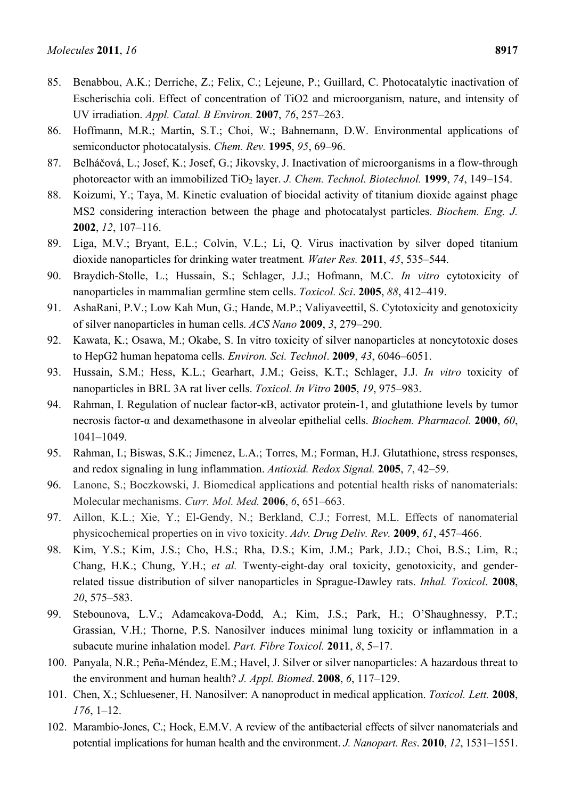- 85. Benabbou, A.K.; Derriche, Z.; Felix, C.; Lejeune, P.; Guillard, C. Photocatalytic inactivation of Escherischia coli. Effect of concentration of TiO2 and microorganism, nature, and intensity of UV irradiation. *Appl. Catal. B Environ.* **2007**, *76*, 257–263.
- 86. Hoffmann, M.R.; Martin, S.T.; Choi, W.; Bahnemann, D.W. Environmental applications of semiconductor photocatalysis. *Chem. Rev.* **1995**, *95*, 69–96.
- 87. Belháčová, L.; Josef, K.; Josef, G.; Jikovsky, J. Inactivation of microorganisms in a flow-through photoreactor with an immobilized TiO<sub>2</sub> layer. *J. Chem. Technol. Biotechnol.* **1999**, 74, 149–154.
- 88. Koizumi, Y.; Taya, M. Kinetic evaluation of biocidal activity of titanium dioxide against phage MS2 considering interaction between the phage and photocatalyst particles. *Biochem. Eng. J.* **2002**, *12*, 107–116.
- 89. Liga, M.V.; Bryant, E.L.; Colvin, V.L.; Li, Q. Virus inactivation by silver doped titanium dioxide nanoparticles for drinking water treatment*. Water Res.* **2011**, *45*, 535–544.
- 90. Braydich-Stolle, L.; Hussain, S.; Schlager, J.J.; Hofmann, M.C. *In vitro* cytotoxicity of nanoparticles in mammalian germline stem cells. *Toxicol. Sci*. **2005**, *88*, 412–419.
- 91. AshaRani, P.V.; Low Kah Mun, G.; Hande, M.P.; Valiyaveettil, S. Cytotoxicity and genotoxicity of silver nanoparticles in human cells. *ACS Nano* **2009**, *3*, 279–290.
- 92. Kawata, K.; Osawa, M.; Okabe, S. In vitro toxicity of silver nanoparticles at noncytotoxic doses to HepG2 human hepatoma cells. *Environ. Sci. Technol*. **2009**, *43*, 6046–6051.
- 93. Hussain, S.M.; Hess, K.L.; Gearhart, J.M.; Geiss, K.T.; Schlager, J.J. *In vitro* toxicity of nanoparticles in BRL 3A rat liver cells. *Toxicol. In Vitro* **2005**, *19*, 975–983.
- 94. Rahman, I. Regulation of nuclear factor-κB, activator protein-1, and glutathione levels by tumor necrosis factor-α and dexamethasone in alveolar epithelial cells. *Biochem. Pharmacol.* **2000**, *60*, 1041–1049.
- 95. Rahman, I.; Biswas, S.K.; Jimenez, L.A.; Torres, M.; Forman, H.J. Glutathione, stress responses, and redox signaling in lung inflammation. *Antioxid. Redox Signal.* **2005**, *7*, 42–59.
- 96. Lanone, S.; Boczkowski, J. Biomedical applications and potential health risks of nanomaterials: Molecular mechanisms. *Curr. Mol. Med.* **2006**, *6*, 651–663.
- 97. Aillon, K.L.; Xie, Y.; El-Gendy, N.; Berkland, C.J.; Forrest, M.L. Effects of nanomaterial physicochemical properties on in vivo toxicity. *Adv. Drug Deliv. Rev.* **2009**, *61*, 457–466.
- 98. Kim, Y.S.; Kim, J.S.; Cho, H.S.; Rha, D.S.; Kim, J.M.; Park, J.D.; Choi, B.S.; Lim, R.; Chang, H.K.; Chung, Y.H.; *et al.* Twenty-eight-day oral toxicity, genotoxicity, and genderrelated tissue distribution of silver nanoparticles in Sprague-Dawley rats. *Inhal. Toxicol*. **2008**, *20*, 575–583.
- 99. Stebounova, L.V.; Adamcakova-Dodd, A.; Kim, J.S.; Park, H.; O'Shaughnessy, P.T.; Grassian, V.H.; Thorne, P.S. Nanosilver induces minimal lung toxicity or inflammation in a subacute murine inhalation model. *Part. Fibre Toxicol.* **2011**, *8*, 5–17.
- 100. Panyala, N.R.; Peña-Méndez, E.M.; Havel, J. Silver or silver nanoparticles: A hazardous threat to the environment and human health? *J. Appl. Biomed*. **2008**, *6*, 117–129.
- 101. Chen, X.; Schluesener, H. Nanosilver: A nanoproduct in medical application. *Toxicol. Lett.* **2008**, *176*, 1–12.
- 102. Marambio-Jones, C.; Hoek, E.M.V. A review of the antibacterial effects of silver nanomaterials and potential implications for human health and the environment. *J. Nanopart. Res*. **2010**, *12*, 1531–1551.